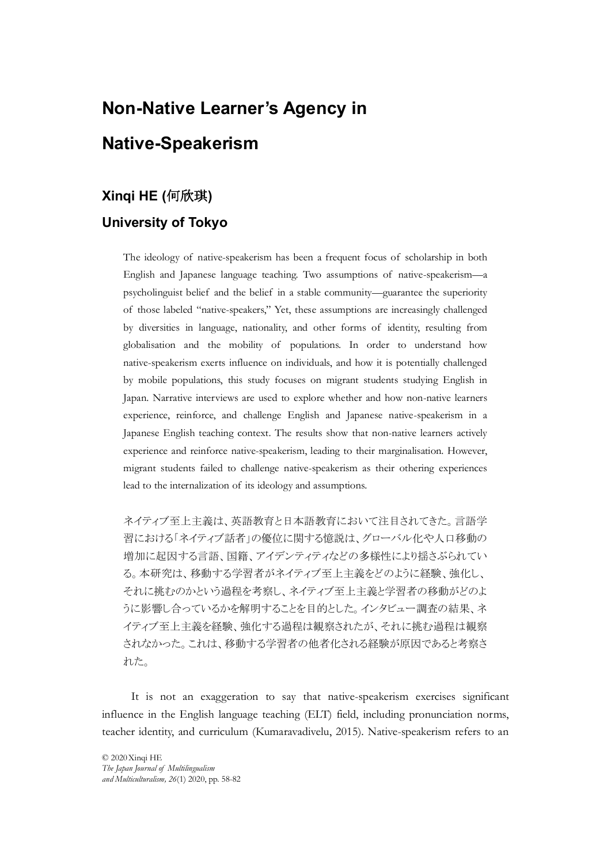# Non-Native Learner's Agency in Native-Speakerism

# Xinqi HE (何欣琪)

# University of Tokyo

**The ideology of artic-speakers and the ideology of artic-speakers and frequent focus of scholarship in both<br>The ideology of artic-speakerism has been a frequent focus of scholarship in both<br>The ideology of artic-speakers In-Native Learner's Agency in**<br> **tive-Speakerism**<br> **qi HE (何欣珙)**<br> **versity of Tokyo**<br>
The ideology of native-speakerism has been a frequent focus of scholarship in both<br>
English and Japanese language teaching. Two assump **n-Native Learner's Agency in**<br> **tive-Speakerism**<br> **qi HE (何欣琪)**<br> **versity of Tokyo**<br>
The ideology of native-speakerism has been a frequent focus of scholarship in both<br>
English and Japanese language teaching. Two assumpt **h -Native Learner's Agency in**<br> **tive-Speakerism**<br> **qi HE (何欣琪)**<br> **versity of Tokyo**<br>
The ideology of native-speakerism has been a frequent focus of scholarship in both<br>
English and Japanese language teaching. Two assump **rive-Speakerism**<br> **qi HE (何欣琪)**<br> **qi HE (何欣琪)**<br> **versity of Tokyo**<br>
The ideology of native-speakerism has been a frequent focus of scholarship in both<br>
English and Japanese language teaching. Two assumptions of native-sp native-speakerism exerts influence on individuals, and how it is potentially challenged by mobile populations, this study focuses on migrant students studying English in Japan. Narrative interviews are used to explore whether and how non-native learners experience, reinforce, and challenge English and Japanese native-speakerism in a Japanese English teaching context. The results show that non-native learners actively experience and reinforce native-speakerism, leading to their marginalisation. However, migrant students failed to challenge native-speakerism as their othering experiences The ideology of native-speakerism has been a frequent focus of scholarship in both<br>
English and Japanese language teaching. Two assumptions of native-speakerism—a<br>
psycholinguist belief and the belief in a stable communi

ネイティブ至上主義は、英語教育と日本語教育において注目されてきた。言語学習における「ネイティブ話者」の優位に関する億説は、グローバル化や人口移動の<br>増における「ネイティブ話者」の優位に関する億説は、グローバル化や人口移動の<br>増加に起因する言語、国籍、アイデンティアなどの多様性により揺さぶられてい<br>る。本研究は、移動する学習者がネイティブ至上主義をどのように経験、強化し、<br>それに挑むのかという過程を考察し、ネイティブ至上主義と学習者の移動 ネイティブ至上主義は、英語教育と日本語教育において注目されてきた。言語学 習における「ネイティブ話者」の優位に関する憶説は、グローバル化や人口移動の 増加に起因する言語、国籍、アイデンティティなどの多様性により揺さぶられてい る。本研究は、移動する学習者がネイティブ至上主義をどのように経験、強化し、 それに挑むのかという過程を考察し、ネイティブ至上主義と学習者の移動がどのよ うに影響し合っているかを解明することを目的とした。インタビュー調査の結果、ネ イティブ至上主義を経験、強化する過程は観察されたが、それに挑む過程は観察 されなかった。これは、移動する学習者の他者化される経験が原因であると考察さ れた。

It is not an exaggeration to say that native-speakerism exercises significant influence in the English language teaching (ELT) field, including pronunciation norms, teacher identity, and curriculum (Kumaravadivelu, 2015). Native-speakerism refers to an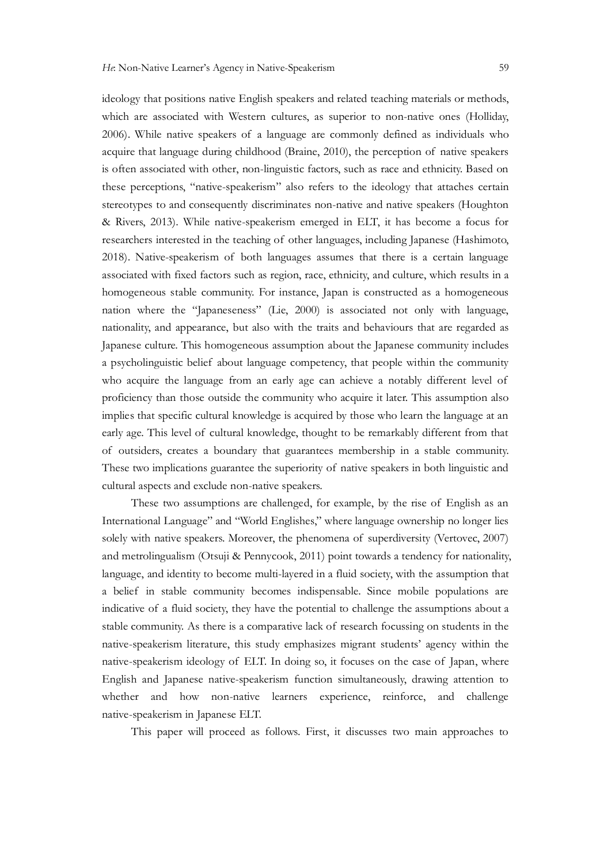ideology that positions native English speakers and related teaching materials or methods, which are associated with Western cultures, as superior to non-native ones (Holliday, *He* Non-Native Learner's Agency in Native-Speakerism 59<br>ideology that positions native English speakers and related teaching materials or methods,<br>which are associated with Western cultures, as superior to non-native ones Fe Non-Native Learner's Agency in Native-Speakerism 59<br>ideology that positions native English speakers and related teaching materials or methods,<br>which are associated with Western cultures, as superior to non-native ones ( is often associated with other, non-linguistic factors, such as race and ethnicity. Based on these perceptions, "native-speakerism" also refers to the ideology that attaches certain stereotypes to and consequently discriminates non-native and native speakers (Houghton & Rivers, 2013). While native-speakerism emerged in ELT, it has become a focus for researchers interested in the teaching of other languages, including Japanese (Hashimoto, 2018). Native-speakerism of both languages assumes that there is a certain language associated with fixed factors such as region, race, ethnicity, and culture, which results in a homogeneous stable community. For instance, Japan is constructed as a homogeneous nation where the "Japaneseness" (Lie, 2000) is associated not only with language, nationality, and appearance, but also with the traits and behaviours that are regarded as Japanese culture. This homogeneous assumption about the Japanese community includes a psycholinguistic belief about language competency, that people within the community who acquire the language from an early age can achieve a notably different level of proficiency than those outside the community who acquire it later. This assumption also implies that specific cultural knowledge is acquired by those who learn the language at an these perceptions, "native-speakerism" also refers to the ideology that attaches ecrtain<br>stereotypes to and consequently discriminates non-native and native speakers (Houghton<br>de Revers, 2013). While native-speakerism emer stereotypes to and consequently discriminates non-native and native speakers (Houghton & Rivers, 2013). While native-speakerism emerged in ELT, it has become a focus for carenches interested in the teaching of oher languag These two implications guarantee the superiority of native speakers in both linguistic and cultural aspects and exclude non-native speakers. Native-speakerism of both languages assumes that there is a certain language<br>ted with fixed factors such as region, race, ethnicity, and culture, which results in a<br>preneous stable community. For instance, Japan is constru homogeneous stable community. For instance, Japan is constructed as a homogeneous nation where the "Japanease. Y (1*i*e, 2000) is associated not only with draguage, nationality, and appearance, but also with the traits and

International Language" and "World Englishes," where language ownership no longer lies and metrolingualism (Otsuji & Pennycook, 2011) point towards a tendency for nationality, language, and identity to become multi-layered in a fluid society, with the assumption that Japanese culture. This homogeneous assumption about the Japanese community includes<br>a psycholinguistic belief about language competency, that people within the community<br>who acquire the language from an early age can achie indicative of a fluid society, they have the potential to challenge the assumptions about a stable community. As there is a comparative lack of research focussing on students in the native-speakerism literature, this study emphasizes migrant students' agency within the implies that specific cultural knowledge is acquired by those who learn the language at an early age. This level of cultural knowledge, thought to be remarkably different from that of outsiders, creates a boundary that gua English and Japanese native-speakerism function simultaneously, drawing attention to whether and how non-native learners experience, reinforce, and challenge native-speakerism in Japanese ELT.

This paper will proceed as follows. First, it discusses two main approaches to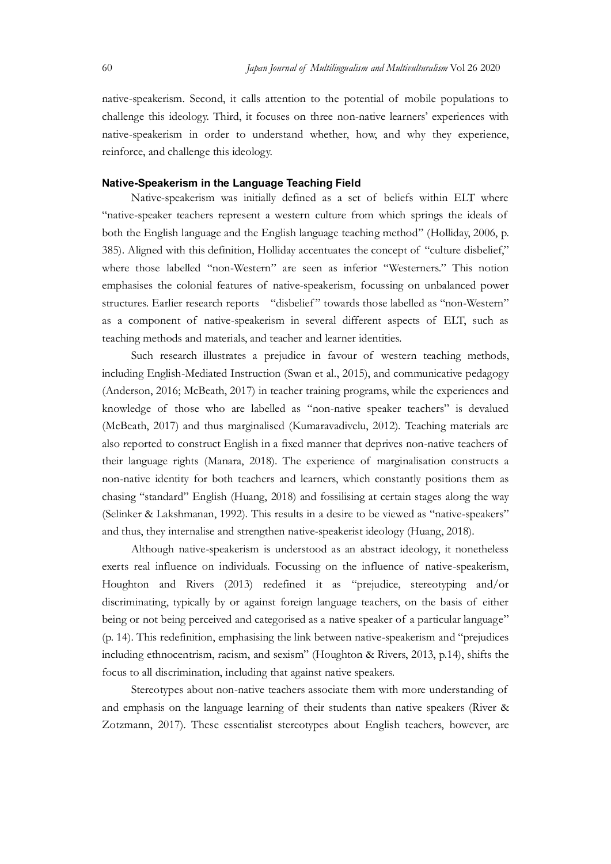Japan Journal of Multilingualism and Multivulturalism Vol 26 2020<br>
native-speakerism. Second, it calls attention to the potential of mobile populations to<br>
challenge this ideology. Third, it focuses on three non-native lea native-speakerism. Second, it calls attention to the potential of mobile populations to challenge this ideology. Third, it focuses on three non-native learners' experiences with native-speakerism in order to understand whether, how, and why they experience, reinforce, and challenge this ideology.

#### Native-Speakerism in the Language Teaching Field

Native-speakerism was initially defined as a set of beliefs within ELT where "native-speaker teachers represent a western culture from which springs the ideals of both the English language and the English language teaching method" (Holliday, 2006, p. 385). Aligned with this definition of Multimgualian and Multimlundian Vol 26 2020<br>
1947 native-speakerism. Second, it calls attention to the potential of mobile populations to<br>
challenge this ideology. Third, it focuses on where those labelled "non-Western" are seen as inferior "Westerners." This notion emphasises the colonial features of native-speakerism, focussing on unbalanced power structures. Earlier research reports "disbelief" towards those labelled as "non-Western" as a component of native-speakerism is everal of mobile populations to native-speakerism. Second, it calls attention to the potential of mobile populations to challenge this ideology. Thind, it focuses on three non-native teaching methods and materials, and teacher and learner identities. research in order to constrain in order to constrain the experiences with speakerism in order to understand whether, how, and why they experience, exec, and challenge this ideology.<br> **S-Speakerism in the Language Teaching** 

including English-Mediated Instruction (Swan et al., 2015), and communicative pedagogy (Anderson, 2016; McBeath, 2017) in teacher training programs, while the experiences and knowledge of those who are labelled as "non-native speaker teachers" is devalued (McBeath, 2017) and thus marginalised (Kumaravadivelu, 2012). Teaching materials are also reported to construct English in a fixed manner that deprives non-native teachers of their language rights (Manara, 2018). The experience of marginalisation constructs a non-native identity for both teachers and learners, which constantly positions them as chasing "standard" English (Huang, 2018) and fossilising at certain stages along the way (Selinker & Lakshmanan, 1992). This results in a desire to be viewed as "native-speakers" and thus, they internalise and strengthen native-speakerist ideology (Huang, 2018). as a component of native-speakerism in several different aspects of EIT, such as<br>teaching methods and materials, and catecher and kearner iclentities.<br>
Such research illustrates a prejudice in favour of western teaching me Such research illustrates a prejudice in favour of western teaching methods, including English-Mediated Instruction (Swan et al., 2015), and communicative pedagog (Anderson, 2016; MeBeath, 2017) in teacher training program

Although native-speakerism is understood as an abstract ideology, it nonetheless Houghton and Rivers (2013) redefined it as "prejudice, stereotyping and/or being or not being perceived and categorised as a native speaker of a particular language" (p. 14). This redefinition, emphasising the link between native-speakerism and "prejudices including ethnocentrism, racism, and sexism" (Houghton & Rivers, 2013, p.14), shifts the focus to all discrimination, including that against native speakers. their language rights (Manara, 2018). The experience of marginalisation constructs a non-native identity for both teachers and learners, which constantly positions then as chaing "stundard" Cheir students (Sclinker & Laksh

Stereotypes about non-native teachers associate them with more understanding of Zotzmann, 2017). These essentialist stereotypes about English teachers, however, are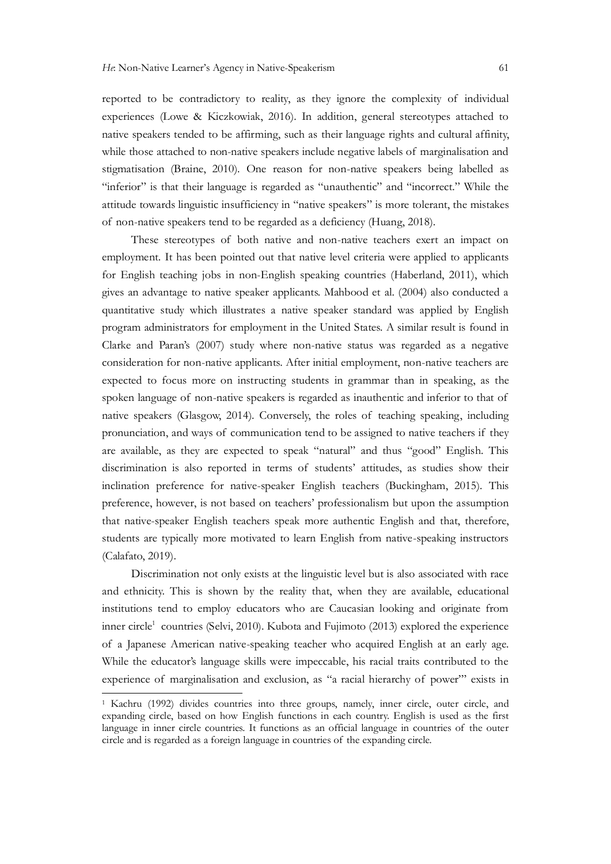reported to be contradictory to reality, as they ignore the complexity of individual experiences (Lowe & Kiczkowiak, 2016). In addition, general stereotypes attached to native speakers tended to be affirming, such as their language rights and cultural affinity, while those attached to non-native speakers include negative labels of marginalisation and stigmatisation (Braine, 2010). One reason for non-native speakers being labelled as "inferior" is that their language is regarded as "unauthentic" and "incorrect." While the attitude towards linguistic insufficiency in "native speakers" is more tolerant, the mistakes *He*: Non-Native Leamer's Agency in Native-Speakerism 61<br>reported to be contradictory to reality, as they ignore the complexity of individual<br>experiences (Lowe & Kiczkowiak, 2016). In addition, general stercotypes attached **Solution 19** and non-native Speakerism and the complexity of individual enecs (Lowe & Kiczkowiak, 2016). In addition, general stereotypes attached to speakers tended to be affirming, such as their language rights and cult

employment. It has been pointed out that native level criteria were applied to applicants for English teaching jobs in non-English speaking countries (Haberland, 2011), which gives an advantage to native speaker applicants. Mahbood et al. (2004) also conducted a quantitative study which illustrates a native speaker standard was applied by English program administrators for employment in the United States. A similar result is found in Clarke and Paran's (2007) study where non-native status was regarded as a negative consideration for non-native applicants. After initial employment, non-native teachers are expected to focus more on instructing students in grammar than in speaking, as the spoken language of non-native speakers is regarded as inauthentic and inferior to that of native speakers (Glasgow, 2014). Conversely, the roles of teaching speaking, including "inferior" is that their language is regarded as "unauthentic" and "incorrect." While the antitude towards linguifice insufficiency in "native speakers" is more tolerant, the mistakes of non-native speakers tend to be rega are available, as they are expected to speak "natural" and thus "good" English. This of non-native speakers tend to be regarded as a deficiency (Huang, 2018).<br>
These suecotypes of both native und non-native teachers exert an impact on<br>employment. It has been pointed out that native level criteria were appl inclination preference for native-speaker English teachers (Buckingham, 2015). This preference, however, is not based on teachers' professionalism but upon the assumption that native-speaker English teachers speak more authentic English and that, therefore, students are typically more motivated to learn English from native-speaking instructors (Calafato, 2019). spoken language of non-native speakers is regarded as inauthentic and inferior to that of<br>protunciation, and ways of communication tend to be assigned to native teachers if they<br>pronuccion, and ways of communication tend t pronunciation, and ways of communication tend to be assigned to native teachers if they are are available, as they are crepcted to speak "natural" and thus "good" English. This discrimination is also reported in terms of s

Discrimination not only exists at the linguistic level but is also associated with race and ethnicity. This is shown by the reality that, when they are available, educational institutions tend to employ educators who are Caucasian looking and originate from inner circle<sup>1</sup> countries (Selvi, 2010). Kubota and Fujimoto (2013) explored the experience While the educator's language skills were impeccable, his racial traits contributed to the inclination preference for native-speaker English teachers (Buckingham, 2015). This preference, however, is not based on teachers' professionalism but upon the assumption that native-speaker English reachers speak more aut

<sup>&</sup>lt;sup>1</sup> Kachru (1992) divides countries into three groups, namely, inner circle, outer circle, and expanding circle, based on how English functions in each country. English is used as the first circle and is regarded as a foreign language in countries of the expanding circle.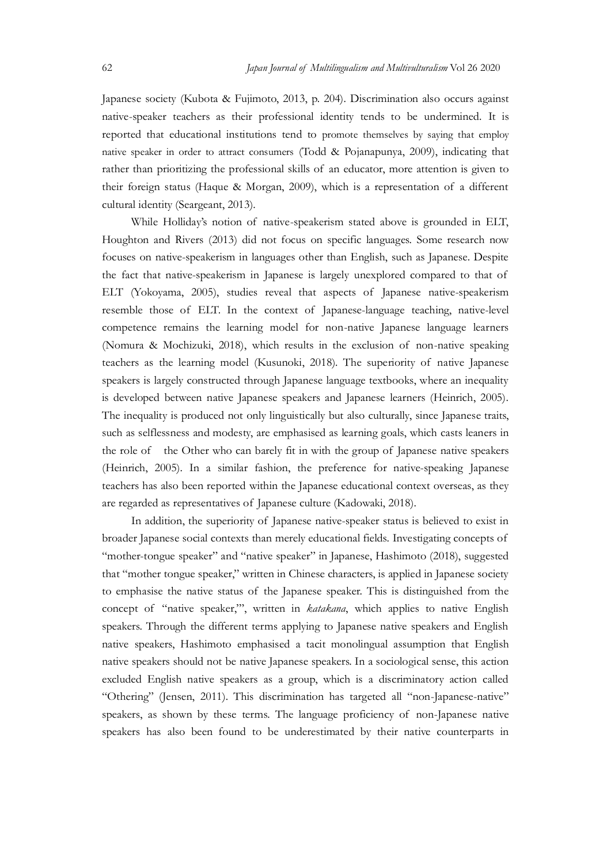Sapan Society (Kubota & Fujimoto, 2013, p. 204). Discrimination also occurs against<br>Japanese society (Kubota & Fujimoto, 2013, p. 204). Discrimination also occurs against<br>native-speaker teachers as their professional ident Japanese society (Kubota & Fujimoto, 2013, p. 204). Discrimination also occurs against native-speaker teachers as their professional identity tends to be undermined. It is reported that educational institutions tend to promote themselves by saying that employ native speaker in order to attract consumers (Todd & Pojanapunya, 2009), indicating that rather than prioritizing the professional skills of an educator, more attention is given to their foreign status (Haque & Morgan, 2009), which is a representation of a different cultural identity (Seargeant, 2013).

While Holliday's notion of native-speakerism stated above is grounded in ELT, Houghton and Rivers (2013) did not focus on specific languages. Some research now focuses on native-speakerism in languages other than English, such as Japanese. Despite the fact that native-speakerism in Japanese is largely unexplored compared to that of Elayton Judova (Multilingualism and Multinulumatium Vol 26 2020<br>
Japanese society (Kubota & Pujimoto, 2013, p. 204). Discrimination also occurs against<br>
native-speaker teachers as their professional identity tends to be un *Lapan Japan Japan sof Multilingualism and Multimalum listo* Od 2020<br>Japancese society (Kubota & Fujimoto, 2013, p. 204). Discrimination also occurs against<br>native-speaker teachers as their professional identity tends to b competence remains the learning model for non-native Japanese language learners (Nomura & Mochizuki, 2018), which results in the exclusion of non-native speaking teachers as the learning model (Kusunoki, 2018). The superiority of native Japanese speakers is largely constructed through Japanese language textbooks, where an inequality is developed between native Japanese speakers and Japanese learners (Heinrich, 2005). The inequality is produced not only linguistically but also culturally, since Japanese traits, such as selflessness and modesty, are emphasised as learning goals, which casts leaners in the role of the Other who can barely fit in with the group of Japanese native speakers (Heinrich, 2005). In a similar fashion, the preference for native-speaking Japanese teachers has also been reported within the Japanese educational context overseas, as they are regarded as representatives of Japanese culture (Kadowaki, 2018).

In addition, the superiority of Japanese native-speaker status is believed to exist in broader Japanese social contexts than merely educational fields. Investigating concepts of "mother-tongue speaker" and "native speaker" in Japanese, Hashimoto (2018), suggested that "mother tongue speaker," written in Chinese characters, is applied in Japanese society to emphasise the native status of the Japanese speaker. This is distinguished from the teachers as the learning model (Kusunoki, 2018). The superiority of native Japanese<br>speakers is largely constructed through Japanese language textbooks, where an inequality<br>si exelocyed levtween native Japanese speakers an speakers. Through the different terms applying to Japanese native speakers and English native speakers, Hashimoto emphasised a tacit monolingual assumption that English native speakers should not be native Japanese speakers. In a sociological sense, this action excluded English native speakers as a group, which is a discriminatory action called "Othering" (Jensen, 2011). This discrimination has targeted all "non-Japanese-native" (Heinrich, 2005). In a similar fashion, the preference for native-speaking Japanese teachers has also been reported within the Japanese colucational context overseas, as they are regarded as representatios of Japanese col speakers has also been found to be underestimated by their native counterparts in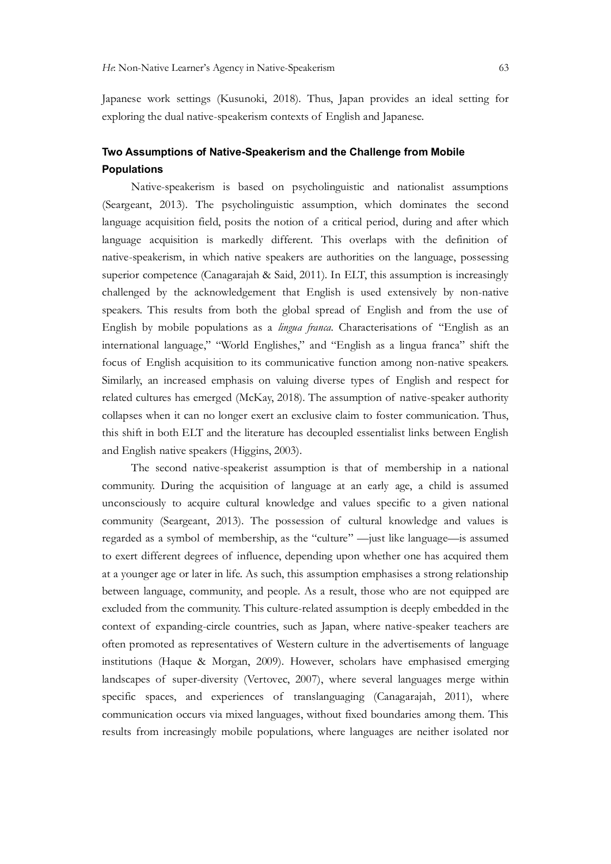Japanese work settings (Kusunoki, 2018). Thus, Japan provides an ideal setting for exploring the dual native-speakerism contexts of English and Japanese.

# Two Assumptions of Native-Speakerism and the Challenge from Mobile Populations

Native-speakerism is based on psycholinguistic and nationalist assumptions (Seargeant, 2013). The psycholinguistic assumption, which dominates the second language acquisition field, posits the notion of a critical period, during and after which language acquisition is markedly different. This overlaps with the definition of native-speakerism, in which native speakers are authorities on the language, possessing superior competence (Canagarajah & Said, 2011). In ELT, this assumption is increasingly challenged by the acknowledgement that English is used extensively by non-native *He* Non-Native Learner's Agency in Native-Speakerism 63<br>Japancese work settings (Kusunoki, 2018). Thus, Japan provides an ideal setting for<br>exploring the dual native-speakerism contexts of English and Japances.<br>**Two Assum** Japancese work settings (Kusunoki, 2018). Thus, Japan provides an ideal setting for exploring the dual native-speakerism contexts of English and Japance.<br> **Two Assumptions of Native-Speakerism and the Challenge from Mobile** international language," "World Englishes," and "English as a lingua franca" shift the exploring the dual native-speakerism contexts of English and Japanese.<br> **Two Assumptions**<br> **Foculations**<br> **Focus of Native-Speakerism and the Challenge from Mobile**<br> **Populations**<br> **Communication Solution English and among Two Assumptions of Native-Speakerism and the Challenge from Mobile<br>
Populations**<br>
Native-speakerism is based on psycholinguistic and nationalist assumptions<br>
(Seargeant, 2013). The psycholinguistic assumption, which domi **Two Assumptions of Native-Speakerism and the Challenge from Mobile<br>
Populations<br>
Native-speakerism is based on psycholinguistic and nationalist assumptions<br>
(Seargeant, 2013). The psycholinguistic assumption, which domin** collapses when it can no longer exert an exclusive claim to foster communication. Thus, this shift in both ELT and the literature has decoupled essentialist links between English and English native speakers (Higgins, 2003). challenged by the acknowledgement that English is used extensively by non-native speakers. This results from both the global spread of English and from the use of Finglish y monbic populations as a *linga*, Characterisatio

The second native-speakerist assumption is that of membership in a national community. During the acquisition of language at an early age, a child is assumed unconsciously to acquire cultural knowledge and values specific to a given national community (Seargeant, 2013). The possession of cultural knowledge and values is to exert different degrees of influence, depending upon whether one has acquired them at a younger age or later in life. As such, this assumption emphasises a strong relationship between language, community, and people. As a result, those who are not equipped are excluded from the community. This culture-related assumption is deeply embedded in the context of expanding-circle countries, such as Japan, where native-speaker teachers are related cultures has emerged (McKay, 2018). The assumption of native-speaker authority<br>collapses when it can no longer cext ran exclusive claim to foster communication. Thus,<br>this shift in both ELT and the literature has d institutions (Haque & Morgan, 2009). However, scholars have emphasised emerging landscapes of super-diversity (Vertovec, 2007), where several languages merge within specific spaces, and experiences of translanguaging (Canagarajah, 2011), where communication occurs via mixed languages, without fixed boundaries among them. This results from increasingly mobile populations, where languages are neither isolated nor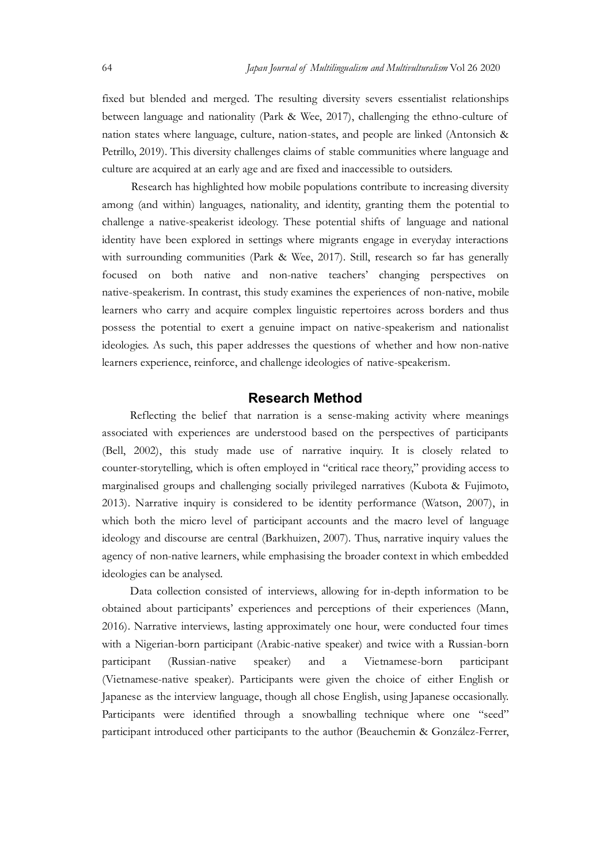Japan Journal of Multilingualism and Multivulturalism Vol 26 2020<br>
fixed but blended and merged. The resulting diversity severs essentialist relationships<br>
between language and nationality (Park & Wee, 2017), challenging t fixed but blended and merged. The resulting diversity severs essentialist relationships between language and nationality (Park & Wee, 2017), challenging the ethno-culture of nation states where language, culture, nation-states, and people are linked (Antonsich & Petrillo, 2019). This diversity challenges claims of stable communities where language and culture are acquired at an early age and are fixed and inaccessible to outsiders.

Research has highlighted how mobile populations contribute to increasing diversity among (and within) languages, nationality, and identity, granting them the potential to *Challenge a native-speakerist* ideology. The messaling diversity severs essentialist relationships between language and nationality (Park & Wee, 2017), challenging the ethno-culture of nation states where language, cultur identity have been explored in settings where migrants engage in everyday interactions with surrounding communities (Park & Wee, 2017). Still, research so far has generally focused on both native and non-native teachers' changing perspectives on Japan Journal of Multilingualism and Multirulumalism Vol 26 2020<br>
fixed but blended and merged. The resulting diversity severs essentialist relationships<br>
between language and rationality (Park & Wee, 2017), challenging th learners who carry and acquire complex linguistic repertoires across borders and thus possess the potential to exert a genuine impact on native-speakerism and nationalist ideologies. As such, this paper addresses the questions of whether and how non-native learners experience, reinforce, and challenge ideologies of native-speakerism. Research has highlighted how mobile populations contribute to increasing diversity Research has highlighted how mobile populations contribute to increasing diversity (and within) languages, antionality, and identity, grant

# Research Method

associated with experiences are understood based on the perspectives of participants (Bell, 2002), this study made use of narrative inquiry. It is closely related to counter-storytelling, which is often employed in "critical race theory," providing access to marginalised groups and challenging socially privileged narratives (Kubota & Fujimoto, 2013). Narrative inquiry is considered to be identity performance (Watson, 2007), in focused on both native and non-native teachers' changing perspectives on alter-speakerism. In contrast, this stugh examines the experiences of non-native, mobile learners who carry and acquire complex linguisit crepertoire ideology and discourse are central (Barkhuizen, 2007). Thus, narrative inquiry values the learners who carry and acquire complex linguistic repertoires across borders and thus<br>possess the potential to exert a genuine impact on native-speakerism and nationalist<br>ideologies. As such, this paper addresses the quest ideologies can be analysed. gies. As such, this paper addresses the questions of whether and how non-native<br>respectivence, reinforce, and challenge ideologies of native-speakerism.<br> **Research Method**<br>
Reflecting the belief that narration is a sense-m

obtained about participants' experiences and perceptions of their experiences (Mann, 2016). Narrative interviews, lasting approximately one hour, were conducted four times with a Nigerian-born participant (Arabic-native speaker) and twice with a Russian-born participant (Russian-native speaker) and a Vietnamese-born participant (Vietnamese-native speaker). Participants were given the choice of either English or Japanese as the interview language, though all chose English, using Japanese occasionally. Participants were identified through a snowballing technique where one "seed" participant introduced other participants to the author (Beauchemin & González-Ferrer,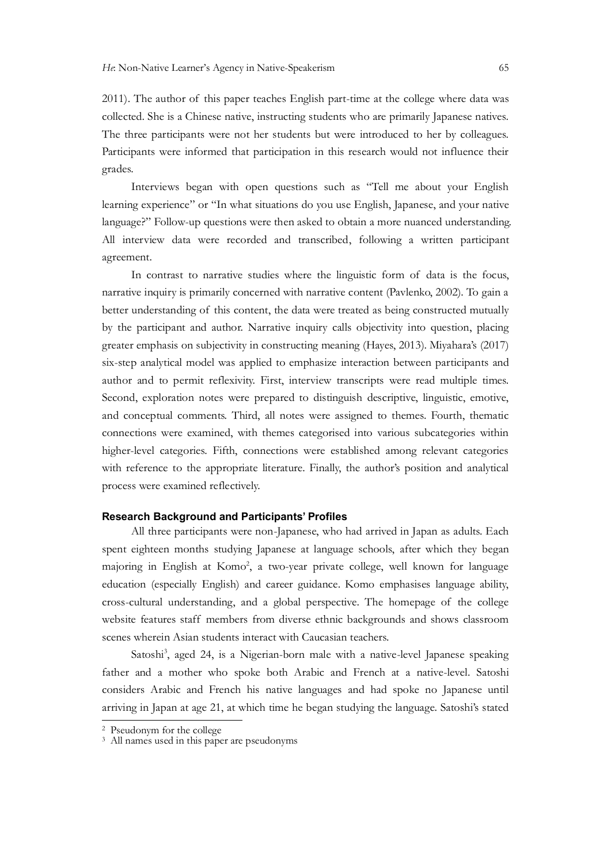*He*: Non-Native Learner's Agency in Native-Speakerism (55)<br>2011). The author of this paper teaches English part-time at the college where data was<br>collected. She is a Chinese native, instructing students who are primarily collected. She is a Chinese native, instructing students who are primarily Japanese natives. The three participants were not her students but were introduced to her by colleagues. Participants were informed that participation in this research would not influence their grades.

Interviews began with open questions such as "Tell me about your English learning experience" or "In what situations do you use English, Japanese, and your native language?" Follow-up questions were then asked to obtain a more nuanced understanding. All interview data were recorded and transcribed, following a written participant agreement.

In Calive Learner's Agency in Native-Speakerism (65)<br>
The author of this paper teaches English part-time at the college where data was<br>
ed. She is a Chinese native, instructing students who are primarily Japanese natives.<br> narrative inquiry is primarily concerned with narrative content (Pavlenko, 2002). To gain a better understanding of this content, the data were treated as being constructed mutually by the participant and author. Narrative inquiry calls objectivity into question, placing greater emphasis on subjectivity in constructing meaning (Hayes, 2013). Miyahara's (2017) six-step analytical model was applied to emphasize interaction between participants and author and to permit reflexivity. First, interview transcripts were read multiple times. Second, exploration notes were prepared to distinguish descriptive, linguistic, emotive, and conceptual comments. Third, all notes were assigned to themes. Fourth, thematic connections were examined, with themes categorised into various subcategories within higher-level categories. Fifth, connections were established among relevant categories with reference to the appropriate literature. Finally, the author's position and analytical process were examined reflectively. is the state of the matter and a gaplical to emphasize interaction between participants and a author and to permit reflexivity. Hirst, interview transcripts were read multiple times.<br>Second, exploration notes were prepared

#### Research Background and Participants' Profiles

All three participants were non-Japanese, who had arrived in Japan as adults. Each spent eighteen months studying Japanese at language schools, after which they began majoring in English at Komo<sup>2</sup>, a two-year private college, well known for language education (especially English) and career guidance. Komo emphasises language ability, website features staff members from diverse ethnic backgrounds and shows classroom scenes wherein Asian students interact with Caucasian teachers.

Satoshi<sup>3</sup>, aged 24, is a Nigerian-born male with a native-level Japanese speaking father and a mother who spoke both Arabic and French at a native-level. Satoshi considers Arabic and French his native languages and had spoke no Japanese until arriving in Japan at age 21, at which time he began studying the language. Satoshi's stated

<sup>&</sup>lt;sup>2</sup> Pseudonym for the college

<sup>&</sup>lt;sup>2</sup> Pseudonym for the college<br><sup>3</sup> All names used in this paper are pseudonyms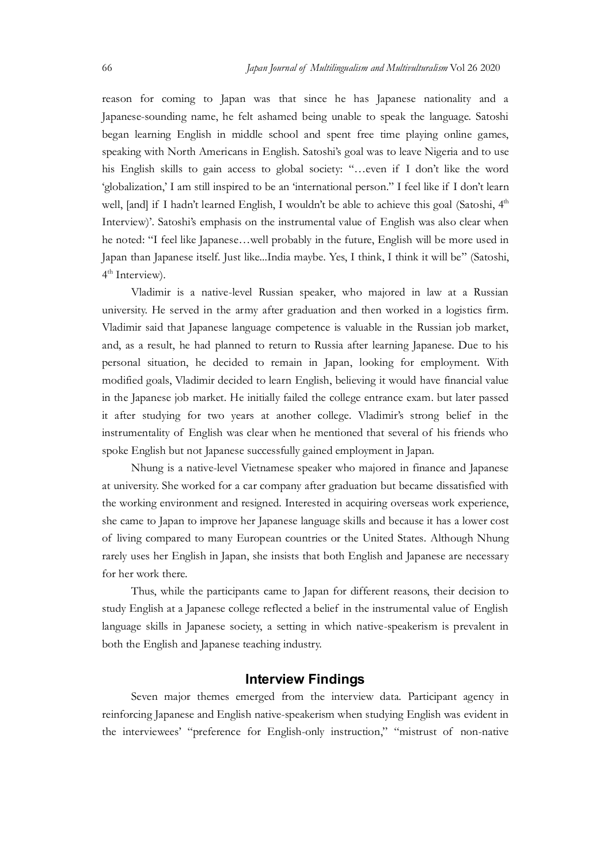Japan Journal of Multilingualism and Multivulturalism Vol 26 2020<br>
reason for coming to Japan was that since he has Japanese nationality and a<br>
Japanese-sounding name, he felt ashamed being unable to speak the language. Sa reason for coming to Japan was that since he has Japanese nationality and a Japanese-sounding name, he felt ashamed being unable to speak the language. Satoshi began learning English in middle school and spent free time playing online games, speaking with North Americans in English. Satoshi's goal was to leave Nigeria and to use his English skills to gain access to global society: "...even if I don't like the word Japan Journal of Multilingualism and Multirulturalism Vol 26 2020<br>
reason for coming to Japan was that since he has Japanese nationality and a<br>
Japanese-sounding name, he felt ashamed being unable to speak the language. Sa Japan Journal of Multilingualism and Multinulturalism Vol 26 2020<br>
reason for coming to Japan was that since he has Japanese nationality and a<br>
Japanese-sounding name, he felt ashamed being unable to speak the language. Sa *Interview*). Satoshit emphasis on the interview of English was speaking of Multiplean and Multiplean learning and a Japanese-sounding name, he felt ashamed being unable to speak the hanguage. Satoshi began learning Englis he noted: "I feel like Japanese…well probably in the future, English will be more used in Japan than Japanese itself. Just like...India maybe. Yes, I think, I think it will be" (Satoshi, 4 th Interview).

Vladimir is a native-level Russian speaker, who majored in law at a Russian university. He served in the army after graduation and then worked in a logistics firm. Vladimir said that Japanese language competence is valuable in the Russian job market, and, as a result, he had planned to return to Russia after learning Japanese. Due to his personal situation, he decided to remain in Japan, looking for employment. With modified goals, Vladimir decided to learn English, believing it would have financial value in the Japanese job market. He initially failed the college entrance exam. but later passed his English skills to gain access to global society: "...even if 1 don't like the word 'globalization', 1 am sull inspired to be an 'international person." I feel like if 1 don't learn<br>
veel, [and] if I hadn't learned Engl 'globalization,' I am still inspired to be an 'international person." I feel like if I don't learn<br>well, [and] if I hadn't learned English, 1 wouldn't be able to achieve this goal (Satoshi, 4<sup>th</sup><br>Interview)'. Satoshi's emp spoke English but not Japanese successfully gained employment in Japan. Vladimir is a native-level Russian speaker, who majored in law at a Russian<br>university. He served in the army after graduation and then worked in a logistics firm.<br>Vladimir said that Japanese language competence is valuabl

Nhung is a native-level Vietnamese speaker who majored in finance and Japanese at university. She worked for a car company after graduation but became dissatisfied with the working environment and resigned. Interested in acquiring overseas work experience, she came to Japan to improve her Japanese language skills and because it has a lower cost rarely uses her English in Japan, she insists that both English and Japanese are necessary for her work there. personal situation, he decided to remain in Japan, looking for employment. With<br>modified goals, Vladimir decided to learn Fraglish, believing it would have financial value<br>in the Japanese job market. He initially fulled th at university. She worked for a car company after graduation but became dissatisfied with<br>the working enviroment and resigned. Interested in acquiring overseas work experience,<br>she came to Japan to improve her Japanesc lan

Thus, while the participants came to Japan for different reasons, their decision to language skills in Japanese society, a setting in which native-speakerism is prevalent in both the English and Japanese teaching industry.

### Interview Findings

Seven major themes emerged from the interview data. Participant agency in reinforcing Japanese and English native-speakerism when studying English was evident in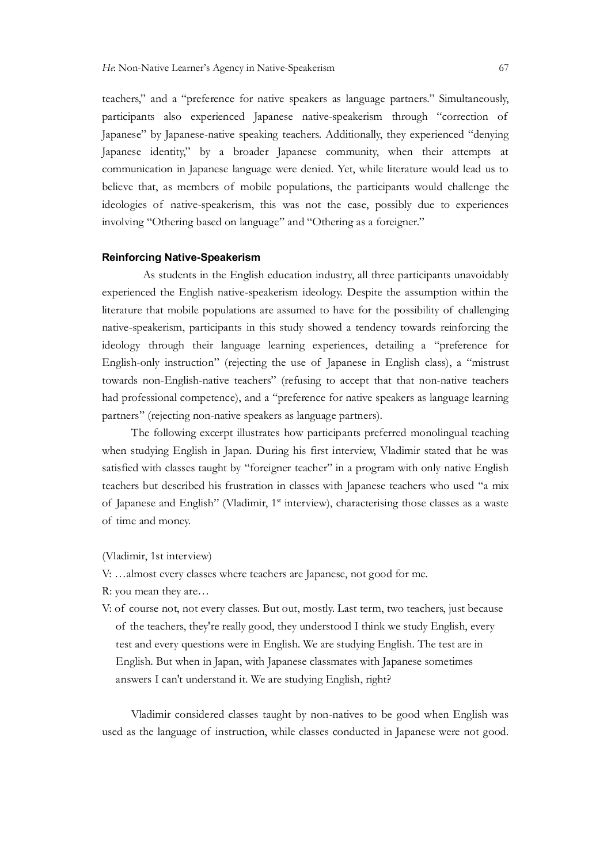teachers," and a "preference for native speakers as language partners." Simultaneously, *He* Non-Native Leamer's Agency in Native-Speakerism 67<br>teachers," and a "preference for native speakers as language partners." Simultaneously,<br>participants also experienced Japanese native-speakerism through "correction o Japanese" by Japanese-native speaking teachers. Additionally, they experienced "denying Japanese identity," by a broader Japanese community, when their attempts at communication in Japanese language were denied. Yet, while literature would lead us to believe that, as members of mobile populations, the participants would challenge the He Non-Native Learner's Agency in Native-Speakerism 67<br>teachers," and a "preference for native speakers as language partners." Simultaneously,<br>participants also experienced Japanese native-speakerism through "correction of involving "Othering based on language" and "Othering as a foreigner." *He* Non-Native Learner's Agency in Native-Speakerism 67<br>
teachers," and a "preference for native speakers as language partners." Simultaneously,<br>
participants also experienced Japanese native-speakerism through "correctio

#### Reinforcing Native-Speakerism

 As students in the English education industry, all three participants unavoidably experienced the English native-speakerism ideology. Despite the assumption within the native-speakerism, participants in this study showed a tendency towards reinforcing the ideology through their language learning experiences, detailing a "preference for English-only instruction" (rejecting the use of Japanese in English class), a "mistrust towards non-English-native teachers" (refusing to accept that that non-native teachers had professional competence), and a "preference for native speakers as language learning partners" (rejecting non-native speakers as language partners). **Reinforcing Native-Speakerism**<br>As students in the English education industry, all three participants unavoidably<br>experienced the English naive-speakerism ideology. Despite the assumption within the<br>literature that mobile As students in the English education industry, all three participants<br>experienced the English native-speakerism ideology. Despite the assumptic<br>literature that mobile populations are assumed to have for the possibility o<br>n

The following excerpt illustrates how participants preferred monolingual teaching when studying English in Japan. During his first interview, Vladimir stated that he was satisfied with classes taught by "foreigner teacher" in a program with only native English teachers but described his frustration in classes with Japanese teachers who used "a mix English-only instruction" (rejecting the use of Japanese in English class), a "mistrust<br>towards non-English-naive teachers" (refising to accept that that non-naive teachers<br>had professional competence), and a "preference f vards non-English-native teachers" (refusing to accept that that non-native teachers<br>professional competence), and a "preference for native speakers as language learning<br>"(rejecting non-native speaker as language partners)

(Vladimir, 1st interview)

V: …almost every classes where teachers are Japanese, not good for me.

R: you mean they are…

test and every questions were in English. We are studying English. The test are in English. But when in Japan, with Japanese classmates with Japanese sometimes answers I can't understand it. We are studying English, right?

Vladimir considered classes taught by non-natives to be good when English was used as the language of instruction, while classes conducted in Japanese were not good.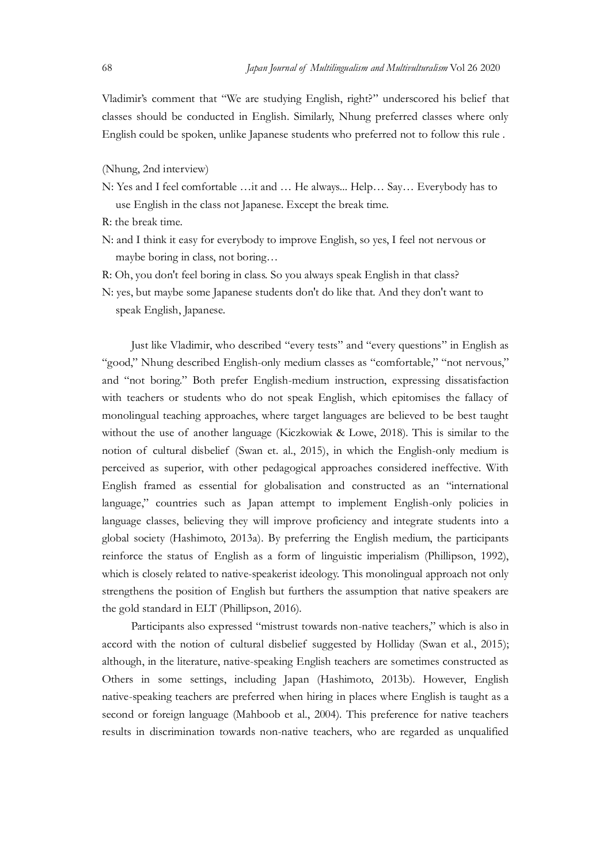Japan Journal of Multilingualism and Multivulturalism Vol 26 2020<br>Vladimir's comment that "We are studying English, right?" underscored his belief that<br>classes should be conducted in English. Similarly, Nhung preferred cla Vladimir's comment that "We are studying English, right?" underscored his belief that classes should be conducted in English. Similarly, Nhung preferred classes where only English could be spoken, unlike Japanese students who preferred not to follow this rule .

#### (Nhung, 2nd interview)

- N: Yes and I feel comfortable …it and … He always... Help… Say… Everybody has to use English in the class not Japanese. Except the break time.
- R: the break time.
- N: and I think it easy for everybody to improve English, so yes, I feel not nervous or maybe boring in class, not boring…
- R: Oh, you don't feel boring in class. So you always speak English in that class?
- N: yes, but maybe some Japanese students don't do like that. And they don't want to speak English, Japanese.

Just like Vladimir, who described "every tests" and "every questions" in English as "good," Nhung described English-only medium classes as "comfortable," "not nervous," and "not boring." Both prefer English-medium instruction, expressing dissatisfaction with teachers or students who do not speak English, which epitomises the fallacy of monolingual teaching approaches, where target languages are believed to be best taught without the use of another language (Kiczkowiak & Lowe, 2018). This is similar to the Resume to break implish in the class not Japanese. Except the break time.<br>
R: Ch: and I think it casy for everybody to improve English, so yes, I feel not nervous or<br>
maybe boring in class, not boring...<br>
R: Oh, you don't perceived as superior, with other pedagogical approaches considered ineffective. With English framed as essential for globalisation and constructed as an "international language," countries such as Japan attempt to implement English-only policies in language classes, believing they will improve proficiency and integrate students into a global society (Hashimoto, 2013a). By preferring the English medium, the participants speak English, Japanese.<br>
Just like Vladimir, who described "every tests" and "every questions" in English as<br>
"good," Nhung described English-only medium classes as "comfortable," "not nervous,"<br>
and "not boring." Both pr which is closely related to native-speakerist ideology. This monolingual approach not only strengthens the position of English but furthers the assumption that native speakers are the gold standard in ELT (Phillipson, 2016). with teachers or students who do not speak English, which epitomises the fallacy of<br>monolingual teaching approaches, where target languages are believed to be set taught<br>who the use of another language (Kiczkowiak & Lowe,

Participants also expressed "mistrust towards non-native teachers," which is also in although, in the literature, native-speaking English teachers are sometimes constructed as Others in some settings, including Japan (Hashimoto, 2013b). However, English native-speaking teachers are preferred when hiring in places where English is taught as a second or foreign language (Mahboob et al., 2004). This preference for native teachers results in discrimination towards non-native teachers, who are regarded as unqualified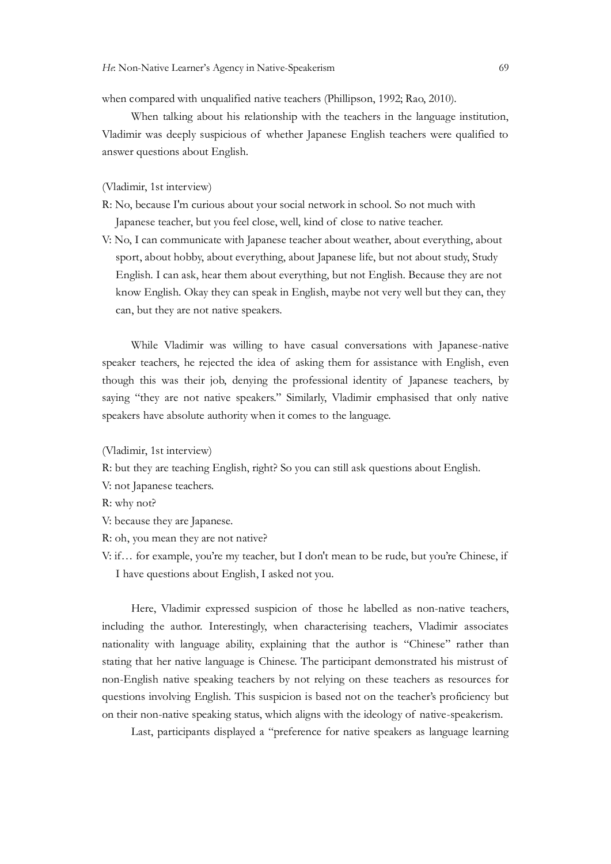when compared with unqualified native teachers (Phillipson, 1992; Rao, 2010).

When talking about his relationship with the teachers in the language institution, He Non-Native Learner's Agency in Native-Speakerism<br>
when compared with unqualified native teachers (Phillipson, 1992; Rao, 2010).<br>
When talking about his relationship with the teachers in the language institution,<br>
Vladim answer questions about English.

(Vladimir, 1st interview)

- R: No, because I'm curious about your social network in school. So not much with Japanese teacher, but you feel close, well, kind of close to native teacher.
- V: No, I can communicate with Japanese teacher about weather, about everything, about sport, about hobby, about everything, about Japanese life, but not about study, Study English. I can ask, hear them about everything, but not English. Because they are not know English. Okay they can speak in English, maybe not very well but they can, they can, but they are not native speakers.

While Vladimir was willing to have casual conversations with Japanese-native When talking about his relationship with the teachers in the hanguage institution,<br>Vladimir was decply suspicious of whether Japanese English teachers were qualified to<br>answer questions about Dinglish.<br>(Vladimir, 1st inter Vladimir was deeply suspicious of whether Japanese English teachers were qualified to answer questions about English.<br>
(Vladimir, 1st interview)<br>
R: No, because I'm curious about your social network in school. So not much saying "they are not native speakers." Similarly, Vladimir emphasised that only native speakers have absolute authority when it comes to the language.

(Vladimir, 1st interview)

R: but they are teaching English, right? So you can still ask questions about English.

V: not Japanese teachers.

R: why not?

V: because they are Japanese.

- R: oh, you mean they are not native?
- V: if… for example, you're my teacher, but I don't mean to be rude, but you're Chinese, if I have questions about English, I asked not you.

r teachers, he rejected the idea of asking them for assistance with English, even<br>this was their job, denying the professional identity of Japanese teachers, by<br>"they are not native speakers." Similarly, Vladimir emphasise including the author. Interestingly, when characterising teachers, Vladimir associates nationality with language ability, explaining that the author is "Chinese" rather than stating that her native language is Chinese. The participant demonstrated his mistrust of non-English native speaking teachers by not relying on these teachers as resources for questions involving English. This suspicion is based not on the teacher's proficiency but R: but they are teaching English, right? So you can still ask questions about English.<br>
Y: on Japanese.<br>
R: oh, you mean they are not native?<br>
V: because they are Japanese.<br>
R: oh, you mean they are not native?<br>
V: if... f

Last, participants displayed a "preference for native speakers as language learning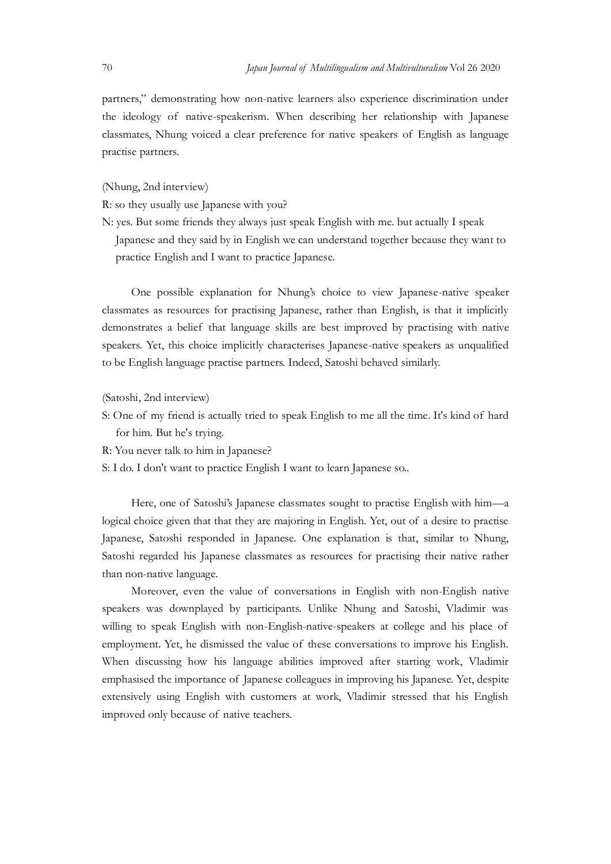Japan Journal of Multilingualism and Multivulturalism Vol 26 2020<br>partners," demonstrating how non-native learners also experience discrimination under<br>the ideology of native-speakerism. When describing her relationship wi partners," demonstrating how non-native learners also experience discrimination under the ideology of native-speakerism. When describing her relationship with Japanese classmates, Nhung voiced a clear preference for native speakers of English as language practise partners.

(Nhung, 2nd interview)

R: so they usually use Japanese with you?

N: yes. But some friends they always just speak English with me. but actually I speak

Japanese and they said by in English we can understand together because they want to practice English and I want to practice Japanese.

One possible explanation for Nhung's choice to view Japanese-native speaker classmates as resources for practising Japanese, rather than English, is that it implicitly demonstrates a belief that language skills are best improved by practising with native speakers. Yet, this choice implicitly characterises Japanese-native speakers as unqualified to be English language practise partners. Indeed, Satoshi behaved similarly. (Nhung, 2nd interview)<br>
R: so they usually use Japanese with you?<br>
N: yes. But some friends they always just speak English with me. but actually I speak<br>
Japanese and they said by in English we can understand together beca citice English and I want to practice Japanese.<br>
One possible explanation for Nhung's choice to view Japanese-native speaker<br>
ates as resources for practising Japanese, rather than English, is that it implicitly<br>
strates a

(Satoshi, 2nd interview)

- for him. But he's trying.
- R: You never talk to him in Japanese?
- S: I do. I don't want to practice English I want to learn Japanese so..

logical choice given that that they are majoring in English. Yet, out of a desire to practise Japanese, Satoshi responded in Japanese. One explanation is that, similar to Nhung, Satoshi regarded his Japanese classmates as resources for practising their native rather than non-native language.

Moreover, even the value of conversations in English with non-English native speakers was downplayed by participants. Unlike Nhung and Satoshi, Vladimir was willing to speak English with non-English-native-speakers at college and his place of (Satoshi, 2nd interview)<br>
S: One of my friend is actually tried to speak English to me all the time. It's kind of hard<br>
for him. Bu he's tying,<br>
R: You never talk to him in Japanese?<br>
S: I do. I don't want to practice Engl When discussing how his language abilities improved after starting work, Vladimir for him. But he's trying.<br>
R: You never talk to him in Japanese?<br>
S: I do. I don't want to practice English I want to learn Japanese so.<br>
Here, one of Satoshii Japanese classmates sought to practise English with him—a<br>
log extensively using English with customers at work, Vladimir stressed that his English S: I do. I don't want to practice English I want to learn Japanese so.<br>
Here, one of Satoshi's Japanese classmates sought to practise English with him—a<br>
logical choice given that that they are majoring in English. Yet, ou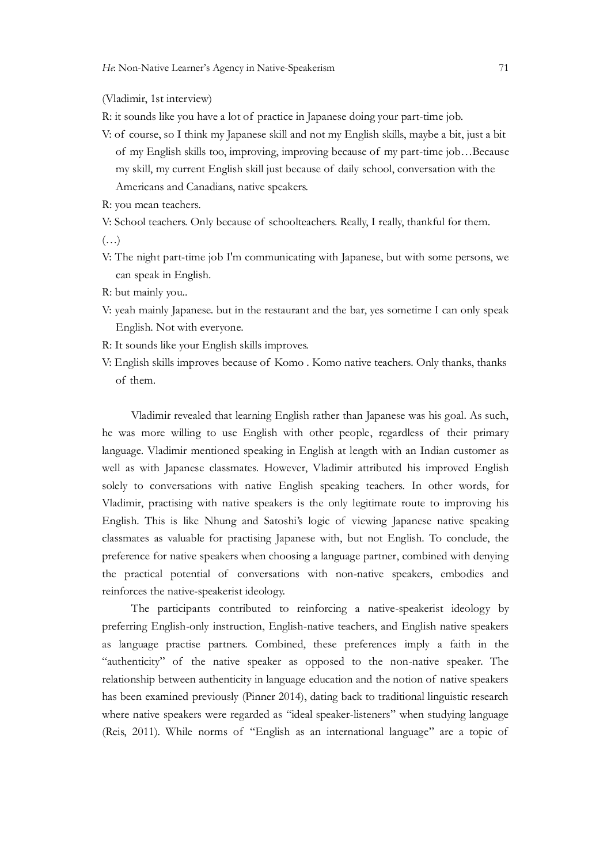(Vladimir, 1st interview)

R: it sounds like you have a lot of practice in Japanese doing your part-time job.

- He Non-Native Learner's Agency in Native-Speakerism 71<br>
(Vladimir, 1st interview)<br>
R: it sounds like you have a lot of practice in Japanese doing your part-time job.<br>
V: of course, so I think my Japanese skill and not my E Non-Native Learner's Agency in Native-Speakerism 71<br>adimir, 1st interview)<br>it sounds like you have a lot of practice in Japanese doing your part-time job.<br>of course, so I think my Japanese skill and not my English skills, Non-Native Learner's Agency in Native-Speakerism<br>
adimir, 1st interview)<br>
it sounds like you have a lot of practice in Japanese doing your part-time job.<br>
of course, so I think my Japanese skill and not my English skills, Americans and Canadians, native speakers. R: it sounds like you have a lot of practice in Japanese doing your part-time job.<br>V: of course, so 1 think my Japanese skill and not my English skills, maybe a bit, just a bit<br>of my English skills too, inproving, improvin of course, so I think my Japanese skill and not my English skills, maybe a bit, of my English skills too, improving, improving because of my part-time job.<br>The my skill, my current English skill just because of daily schoo
- R: you mean teachers.

V: School teachers. Only because of schoolteachers. Really, I really, thankful for them.

 $(\ldots)$ 

- V: The night part-time job I'm communicating with Japanese, but with some persons, we can speak in English.
- R: but mainly you..
- V: yeah mainly Japanese. but in the restaurant and the bar, yes sometime I can only speak English. Not with everyone.
- R: It sounds like your English skills improves.
- 

Vladimir revealed that learning English rather than Japanese was his goal. As such, Americans and Canadians, native speakers.<br>
R: you mean teachers.<br>
W: School teachers. Only because of schoolteachers. Really, I really, thankful for them.<br>
V: The night part-time job I'm communicating with Japanese, but wi language. Vladimir mentioned speaking in English at length with an Indian customer as well as with Japanese classmates. However, Vladimir attributed his improved English solely to conversations with native English speaking teachers. In other words, for Vladimir, practising with native speakers is the only legitimate route to improving his English. This is like Nhung and Satoshi's logic of viewing Japanese native speaking classmates as valuable for practising Japanese with, but not English. To conclude, the preference for native speakers when choosing a language partner, combined with denying English. Not with everyone.<br>
R: It sounds like your English skills improves<br>
V: English skills improves because of Komo . Komo native teachers. Only thanks, thanks<br>
of them.<br>
Vladimir revealed that learning English rather reinforces the native-speakerist ideology. Vladimir revealed that learning English rather than Japanese was his goal. As such,<br>
he was more willing to use English with other people, regardless of their primary<br>
alanguaçe. Vladimir mentioned speaking in English at l be was more willing to use English with other people, regardless of their primary language. Vladimir mentioned speaking in English at length with an Indian customer as well as with Japanese classmates. I lower, Vladimir at

The participants contributed to reinforcing a native-speakerist ideology by preferring English-only instruction, English-native teachers, and English native speakers as language practise partners. Combined, these preferences imply a faith in the has been examined previously (Pinner 2014), dating back to traditional linguistic research where native speakers were regarded as "ideal speaker-listeners" when studying language (Reis, 2011). While norms of "English as an international language" are a topic of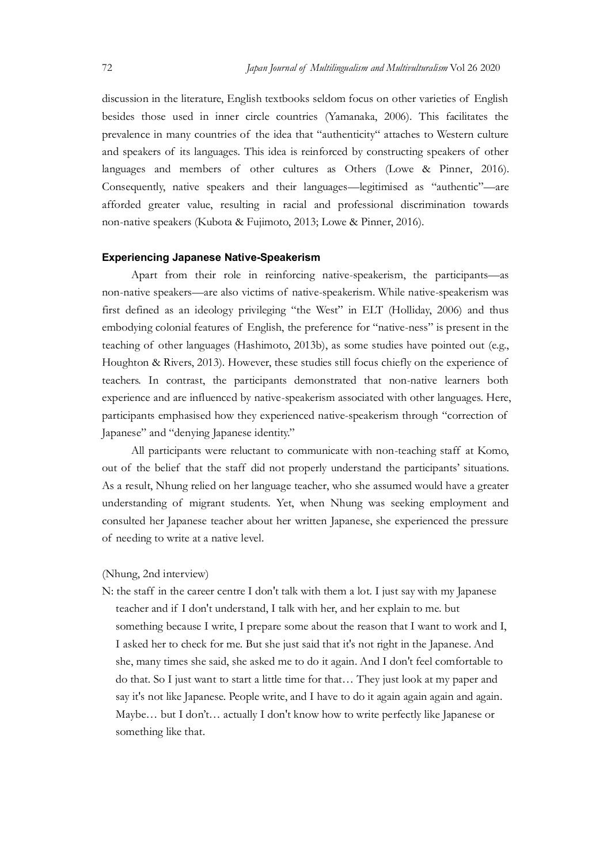Japan Journal of Multilingualism and Multivulturalism Vol 26 2020<br>discussion in the literature, English textbooks seldom focus on other varieties of English<br>besides those used in inner circle countries (Yamanaka, 2006). Th Japan Journal of Multilingualism and Multivulturalism Vol 26 2020<br>discussion in the literature, English textbooks seldom focus on other varieties of English<br>besides those used in inner circle countries (Yamanaka, 2006). Th besides those used in inner circle countries (Yamanaka, 2006). This facilitates the Japan Journal of Multilingualism and Multivulturalism Vol 26 2020<br>discussion in the literature, English textbooks seldom focus on other varieties of English<br>besides those used in inner circle countries (Yamanaka, 2006). Th Jepan Journal of Multilingualism and Multinulturalism Vol 26 2020<br>discussion in the literature, English textbooks seldom focus on other varieties of English<br>besides those used in inner circle countries (Yamanaka, 2006). Th Japan Journal of Multilingualism and Multinulturalism Vol 26 2020<br>discussion in the literature, English textbooks seldom focus on other varieties of English<br>besides those used in inner circle countries (Yamanaka, 2006). Th Consequently, native speakers and their languages—legitimised as "authentic"—are afforded greater value, resulting in racial and professional discrimination towards non-native speakers (Kubota & Fujimoto, 2013; Lowe & Pinner, 2016).

#### Experiencing Japanese Native-Speakerism

Apart from their role in reinforcing native-speakerism, the participants—as non-native speakers—are also victims of native-speakerism. While native-speakerism was first defined as an ideology privileging "the West" in ELT (Holliday, 2006) and thus discussion in the literature, English textbooks seldom focus on other varieties of English<br>besides those used in inner circle countries (Yamanaka, 2006). This facilitates the<br>prevalence in many countries of the idea that " teaching of other languages (Hashimoto, 2013b), as some studies have pointed out (e.g., Houghton & Rivers, 2013). However, these studies still focus chiefly on the experience of teachers. In contrast, the participants demonstrated that non-native learners both experience and are influenced by native-speakerism associated with other languages. Here, Inaguages and members of other cultures as Others (Lowe & Pinner, 2016).<br>Consequently, native speakers and their languages—legitimised as "authentic"—are afforded greater value, resulting in racial and professional discrim Japanese" and "denying Japanese identity." All participants were reluctant to communicate with non-teaching staff at Komo, non-native speakers (Kubota & Fujimoto, 2013; Lowe & Pinner, 2016).<br> **Experiencing Japanese Native-Speakerism**<br>
Apart from their role in reinforcing native-speakerism, the participants—as<br>
non-native speakers—are also vict non-native speakers—are also victims of native-speakerism. While native-speaker first defined as an ideology privileging "the West" in ELT (Holliday, 20 embodying colonial features of English, the preference for "native-ne teaching of other languages (Hashimoto, 2013b), as some studies have pointed out (e.g.,<br>Houghton & Rivers, 2013). However, these studies still focus chiefly on the experience of<br>teachers. In contrast, the participants demo

As a result, Nhung relied on her language teacher, who she assumed would have a greater understanding of migrant students. Yet, when Nhung was seeking employment and consulted her Japanese teacher about her written Japanese, she experienced the pressure

#### (Nhung, 2nd interview)

teacher and if I don't understand, I talk with her, and her explain to me. but something because I write, I prepare some about the reason that I want to work and I, I asked her to check for me. But she just said that it's not right in the Japanese. And she, many times she said, she asked me to do it again. And I don't feel comfortable to do that. So I just want to start a little time for that… They just look at my paper and say it's not like Japanese. People write, and I have to do it again again again and again. Maybe... but I don't... actually I don't know how to write perfectly like Japanese or something like that.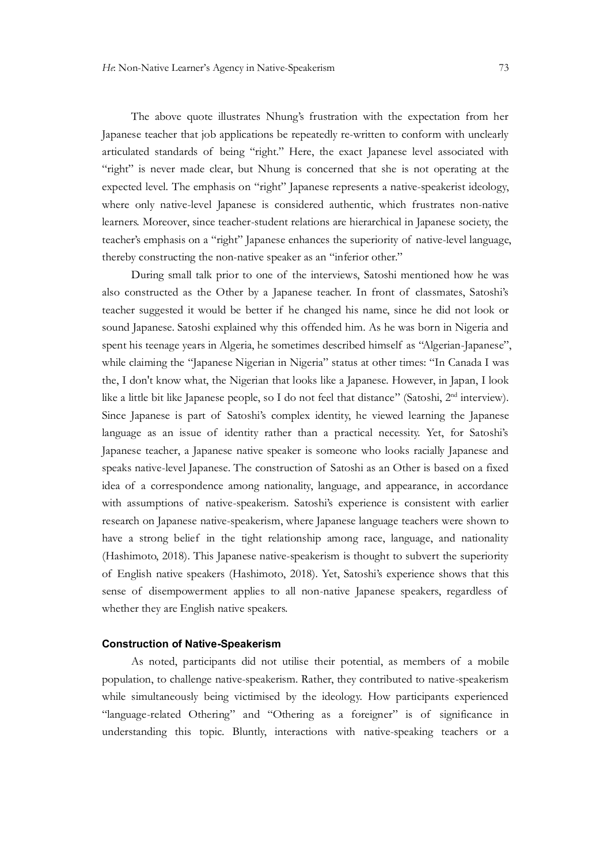The above quote illustrates Nhung's frustration with the expectation from her Japanese teacher that job applications be repeatedly re-written to conform with unclearly articulated standards of being "right." Here, the exact Japanese level associated with "right" is never made clear, but Nhung is concerned that she is not operating at the expected level. The emphasis on "right" Japanese represents a native-speakerist ideology, where only native-level Japanese is considered authentic, which frustrates non-native learners. Moreover, since teacher-student relations are hierarchical in Japanese society, the teacher's emphasis on a "right" Japanese enhances the superiority of native-level language, thereby constructing the non-native speaker as an "inferior other." During small talk prior to one of the interviews, Satoshi mentioned how he was He Non-Native Learner's Agency in Native-Speakerism 73<br>
73<br>
The above quote illustrates Nhung's frustration with the expectation from her<br>
Japanese teacher that job applications be repeatedly re-written to conform with unc

also constructed as the Other by a Japanese teacher. In front of classmates, Satoshi's sound Japanese. Satoshi explained why this offended him. As he was born in Nigeria and spent his teenage years in Algeria, he sometimes described himself as "Algerian-Japanese", while claiming the "Japanese Nigerian in Nigeria" status at other times: "In Canada I was the, I don't know what, the Nigerian that looks like a Japanese. However, in Japan, I look like a little bit like Japanese people, so I do not feel that distance" (Satoshi, 2<sup>nd</sup> interview). "right" is never made clear, but Nhung is concerned that she is not operating at the expected level. The emphasis on "right" Japanese represents a native-speakerist ideology, where only native-level Japanese is considered expected level. The emphasis on "right" Japanese represents a native-speakerist ideology, where only native-level Japanese is considered authentic, which frustrates non-native leaders' Moreover, since teacher's sublasis on Japanese teacher, a Japanese native speaker is someone who looks racially Japanese and speaks native-level Japanese. The construction of Satoshi as an Other is based on a fixed iteacher's emphasis on a "right" Japanese enhances the superiority of native-level hanguage, thereby constructing the non-native speaker as an "inferior other."<br>
During small alls proir to one of the interviews, Statoshi m thereby constructing the non-native speaker as an "inferior other."<br>
During small talk prior to one of the interviews, Satoshi mentioned how he was<br>
also constructed as the Other by a Japanese teacher. In front information research on Japanese native-speakerism, where Japanese language teachers were shown to have a strong belief in the tight relationship among race, language, and nationality (Hashimoto, 2018). This Japanese native-speakerism is thought to subvert the superiority sound Japanese. Satoshi explained why this offended him. As he was born in Nigeria and while claiming the "Japanese", speakers in Algeria, he sometimes described himself as "Algerian-Japanese", while claiming the "Japanese sense of disempowerment applies to all non-native Japanese speakers, regardless of whether they are English native speakers. Japanese is part of Satoshi's complex identity, he viewed learning the Japanese<br>ge as an issue of identity rather than a practical necessity. Yet, for Satoshi's<br>asset eacher, a Japanese naive speaker is someone who looks r

#### Construction of Native-Speakerism

population, to challenge native-speakerism. Rather, they contributed to native-speakerism while simultaneously being victimised by the ideology. How participants experienced "language-related Othering" and "Othering as a foreigner" is of significance in understanding this topic. Bluntly, interactions with native-speaking teachers or a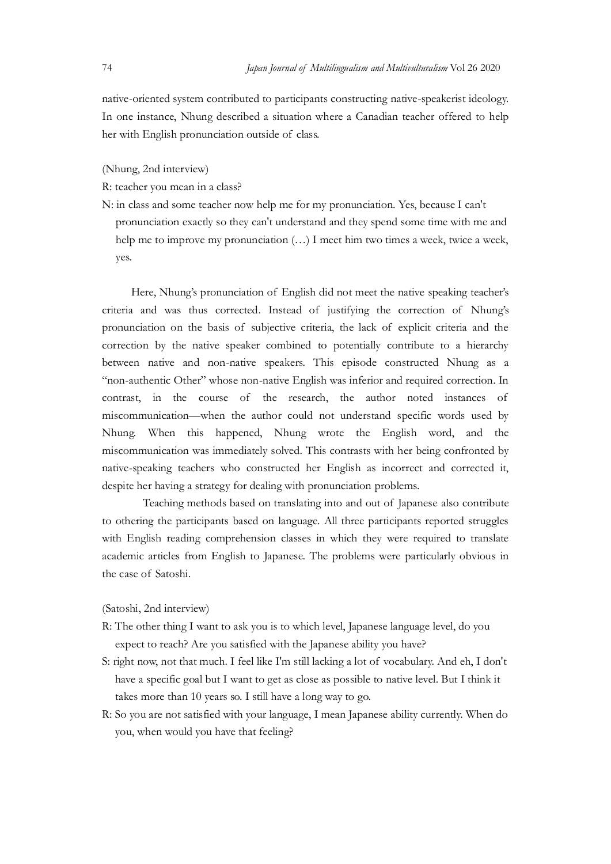Japan Journal of Multilingualism and Multivulturalism Vol 26 2020<br>
native-oriented system contributed to participants constructing native-speakerist ideology.<br>
In one instance, Nhung described a situation where a Canadian native-oriented system contributed to participants constructing native-speakerist ideology. In one instance, Nhung described a situation where a Canadian teacher offered to help Father Machinesian and Multilingualism and Multinulturalism Vol 26 2020<br>
hative-oriented system contributed to participants constructing native-speakerist ideology.<br>
In one instance, Nhung described a situation where a Can

(Nhung, 2nd interview)

- R: teacher you mean in a class?
- N: in class and some teacher now help me for my pronunciation. Yes, because I can't pronunciation exactly so they can't understand and they spend some time with me and help me to improve my pronunciation (…) I meet him two times a week, twice a week, yes.

Here, Nhung's pronunciation of English did not meet the native speaking teacher's *Japan Jamand of Multilingualism and Multimalum listar* Oct 2020<br>
mative-oriented system contributed to participants constructing native-speakerist ideology.<br>
The one instance, Nhung described a situation where a Canadian mative-oriented system contributed to participants constructing native-speakerist ideology.<br>
In one instance, Nhung described a situation where a Canadian teacher offered to help<br>
her with English pronunciation outside of correction by the native speaker combined to potentially contribute to a hierarchy between native and non-native speakers. This episode constructed Nhung as a "non-authentic Other" whose non-native English was inferior and required correction. In (Nhung, 2nd interview)<br>
R: teacher you mean in a class<sup>2</sup><br>
N: in class and some teacher now help me for my pronunciation. Yes, because I can't<br>
pronunciation exactly so they can't understand and they spend some time with m miscommunication—when the author could not understand specific words used by Nhung. When this happened, Nhung wrote the English word, and the miscommunication was immediately solved. This contrasts with her being confronted by native-speaking teachers who constructed her English as incorrect and corrected it, despite her having a strategy for dealing with pronunciation problems.

Teaching methods based on translating into and out of Japanese also contribute to othering the participants based on language. All three participants reported struggles with English reading comprehension classes in which they were required to translate academic articles from English to Japanese. The problems were particularly obvious in the case of Satoshi.

#### (Satoshi, 2nd interview)

- R: The other thing I want to ask you is to which level, Japanese language level, do you expect to reach? Are you satisfied with the Japanese ability you have?
- S: right now, not that much. I feel like I'm still lacking a lot of vocabulary. And eh, I don't have a specific goal but I want to get as close as possible to native level. But I think it takes more than 10 years so. I still have a long way to go.
- R: So you are not satisfied with your language, I mean Japanese ability currently. When do you, when would you have that feeling?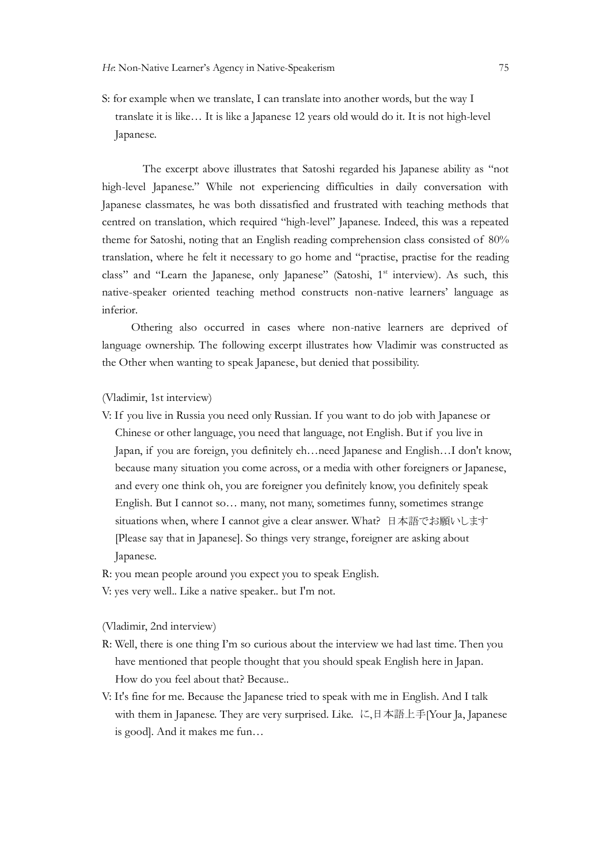S: for example when we translate, I can translate into another words, but the way I translate it is like… It is like a Japanese 12 years old would do it. It is not high-level Japanese.

The excerpt above illustrates that Satoshi regarded his Japanese ability as "not high-level Japanese." While not experiencing difficulties in daily conversation with Japanese classmates, he was both dissatisfied and frustrated with teaching methods that centred on translation, which required "high-level" Japanese. Indeed, this was a repeated He Non-Native Learner's Agency in Native-Speakerism 75<br>
S: for example when we translate, I can translate into another words, but the way I<br>
translate it is like... It is like a Japanese 12 years old would do it. It is not translation, where he felt it necessary to go home and "practise, practise for the reading class" and "Learn the Japanese, only Japanese" (Satoshi, 1<sup>st</sup> interview). As such, this native-speaker oriented teaching method constructs non-native learners' language as inferior.

Othering also occurred in cases where non-native learners are deprived of language ownership. The following excerpt illustrates how Vladimir was constructed as the Other when wanting to speak Japanese, but denied that possibility.

(Vladimir, 1st interview)

- V: If you live in Russia you need only Russian. If you want to do job with Japanese or Chinese or other language, you need that language, not English. But if you live in stances classmates, he was both dissatisfied and frustrated with teaching methods that<br>tracted on translation, which required "high-level" Japanese. Indeed, this was a repeated<br>men for statoshi, noring that an Fanglish re because many situation you come across, or a media with other foreigners or Japanese, and every one think oh, you are foreigner you definitely know, you definitely speak English. But I cannot so… many, not many, sometimes funny, sometimes strange situations when, where I cannot give a clear answer. What? 日本語でお願いします [Please say that in Japanese]. So things very strange, foreigner are asking about Japanese.
- R: you mean people around you expect you to speak English.
- V: yes very well.. Like a native speaker.. but I'm not.

(Vladimir, 2nd interview)

- R: Well, there is one thing I'm so curious about the interview we had last time. Then you have mentioned that people thought that you should speak English here in Japan. How do you feel about that? Because..
- V: It's fine for me. Because the Japanese tried to speak with me in English. And I talk with them in Japanese. They are very surprised. Like. に,日本語上手[Your Ja, Japanese is good]. And it makes me fun…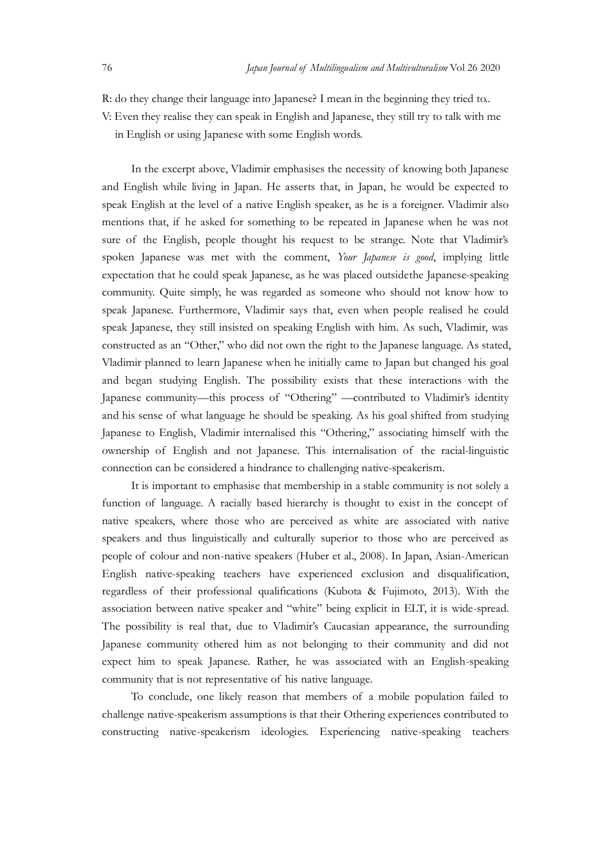Japan Journal of Multilingualism and Multivulturalism Vol 26 2020<br>
R: do they change their language into Japanese? I mean in the beginning they tried to.<br>
V: Even they realise they can speak in English and Japanese, they s R: do they change their language into Japanese? I mean in the beginning they tried to.. V: Even they realise they can speak in English and Japanese, they still try to talk with me

in English or using Japanese with some English words.

In the excerpt above, Vladimir emphasises the necessity of knowing both Japanese and English while living in Japan. He asserts that, in Japan, he would be expected to speak English at the level of a native English speaker, as he is a foreigner. Vladimir also Japan Journal of Multilingualism and Multirulturalism Vol 26 2020<br>
R: do they change their language into Japanese? I mean in the beginning they tried to.<br>
V: Even they realise they can speak in English and Japanese, they s sure of the English, people thought his request to be strange. Note that Vladimir's spoken Japanese was met with the comment, Your Japanese is good, implying little expectation that he could speak Japanese, as he was placed outsidethe Japanese-speaking community. Quite simply, he was regarded as someone who should not know how to speak Japanese. Furthermore, Vladimir says that, even when people realised he could speak Japanese, they still insisted on speaking English with him. As such, Vladimir, was constructed as an "Other," who did not own the right to the Japanese language. As stated, Vladimir planned to learn Japanese when he initially came to Japan but changed his goal and began studying English. The possibility exists that these interactions with the Japanese community—this process of "Othering" —contributed to Vladimir's identity and his sense of what language he should be speaking. As his goal shifted from studying Japanese to English, Vladimir internalised this "Othering," associating himself with the ownership of English and not Japanese. This internalisation of the racial-linguistic connection can be considered a hindrance to challenging native-speakerism. spoken Japanese was met with the comment, *Your Japanese is good*, implying little<br>expectation that he could speak Japanese, as he was placed outsidethe Japanese-speaking<br>community. Quite simply, he was regarded as someone speak Japanese. Furthermore, Vladimir says that, even when people realised he could<br>speak Japanese, they still insisted on speaking English with him. As such, Vladimir, was<br>constructed as an "Other," who did not own the ri

It is important to emphasise that membership in a stable community is not solely a native speakers, where those who are perceived as white are associated with native speakers and thus linguistically and culturally superior to those who are perceived as English native-speaking teachers have experienced exclusion and disqualification, regardless of their professional qualifications (Kubota & Fujimoto, 2013). With the association between native speaker and "white" being explicit in ELT, it is wide-spread. The possibility is real that, due to Vladimir's Caucasian appearance, the surrounding Japanese community othered him as not belonging to their community and did not expect him to speak Japanese. Rather, he was associated with an English-speaking Japanese to Faglish, Vladimir internalised this "Othering," associating himself with the owncership of Eigelish and not Japanese. This internalisation of the racial-linguistic connection can be considered a hindrance. Orbi ship of English and not Japanese. This internalisation of the racial-linguistic<br>cition can be considered a hindrance to challenging naive-speakerism.<br>To is important to emphasise that membership in a stable community is no

challenge native-speakerism assumptions is that their Othering experiences contributed to constructing native-speakerism ideologies. Experiencing native-speaking teachers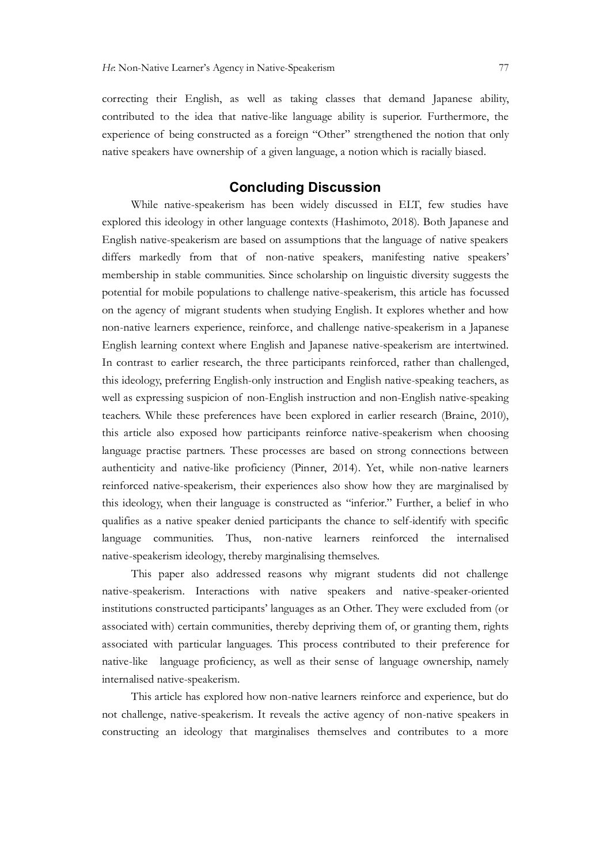correcting their English, as well as taking classes that demand Japanese ability, contributed to the idea that native-like language ability is superior. Furthermore, the experience of being constructed as a foreign "Other" strengthened the notion that only He Non-Native Learner's Agency in Native-Speakerism 77<br>correcting their English, as well as taking classes that demand Japanese ability,<br>contributed to the idea that native-like language ability is superior. Furthermore, t

# Concluding Discussion

While native-speakerism has been widely discussed in ELT, few studies have explored this ideology in other language contexts (Hashimoto, 2018). Both Japanese and English native-speakerism are based on assumptions that the language of native speakers differs markedly from that of non-native speakers, manifesting native speakers' membership in stable communities. Since scholarship on linguistic diversity suggests the potential for mobile populations to challenge native-speakerism, this article has focussed *He* Non-Native Learner's Agency in Native-Speakerism 77<br>correcting their English, as well as taking classes that demand Japanese ability,<br>contributed to the idea that native-like language ability is superior. Furthermore, non-native learners experience, reinforce, and challenge native-speakerism in a Japanese English learning context where English and Japanese native-speakerism are intertwined. In contrast to earlier research, the three participants reinforced, rather than challenged, this ideology, preferring English-only instruction and English native-speaking teachers, as mative speakers have ownership of a given language, a notion which is racially biased.<br> **Concluding Discussion**<br>
While native-speakerism has been widely discussed in ELT, few studies have<br>
explored this ideology in other l teachers. While these preferences have been explored in earlier research (Braine, 2010), this article also exposed how participants reinforce native-speakerism when choosing language practise partners. These processes are based on strong connections between authenticity and native-like proficiency (Pinner, 2014). Yet, while non-native learners reinforced native-speakerism, their experiences also show how they are marginalised by differs markedly from that of non-native speakers, manifesting native speakers'<br>membership in stuble communities. Since scholarship on linguistic diversity suggests the<br>potential for mobile populations to challenge nativequalifies as a native speaker denied participants the chance to self-identify with specific language communities. Thus, non-native learners reinforced the internalised native-speakerism ideology, thereby marginalising themselves. teachers While these preferences have been explored in earlier research (Braine, 2010), this article also exposed how participaats reinforce native-speakerism when choosing handenticity and native-like proficiency (Pinner,

This paper also addressed reasons why migrant students did not challenge native-speakerism. Interactions with native speakers and native-speaker-oriented institutions constructed participants' languages as an Other. They were excluded from (or associated with) certain communities, thereby depriving them of, or granting them, rights associated with particular languages. This process contributed to their preference for internalised native-speakerism.

This article has explored how non-native learners reinforce and experience, but do not challenge, native-speakerism. It reveals the active agency of non-native speakers in constructing an ideology that marginalises themselves and contributes to a more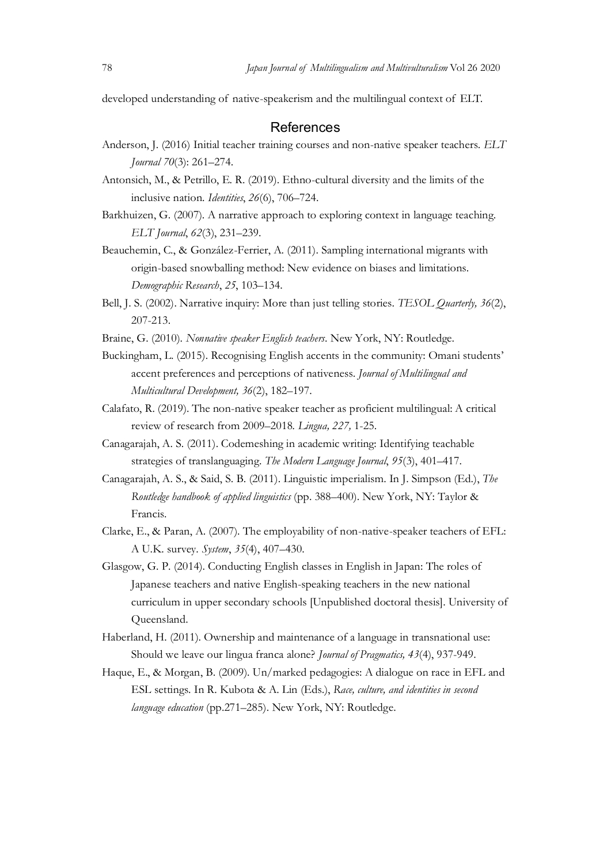#### **References**

- Japan Journal of Multilingualism and Multivulturalism Vol 26 2020<br>developed understanding of native-speakerism and the multilingual context of ELT.<br>**References**<br>Anderson, J. (2016) Initial teacher training courses and non-Japan Journal of Multilingualism and Multivulturalism Vol 26 2020<br>developed understanding of native-speakerism and the multilingual context of ELT.<br>**References**<br>Anderson, J. (2016) Initial teacher training courses and non-Anderson, J. (2016) Initial teacher training courses and non-native speaker teachers. ELT Journal 70(3): 261–274.
- Antonsich, M., & Petrillo, E. R. (2019). Ethno-cultural diversity and the limits of the inclusive nation. Identities, 26(6), 706–724.
- Barkhuizen, G. (2007). A narrative approach to exploring context in language teaching. ELT Journal, 62(3), 231–239.
- Beauchemin, C., & González-Ferrier, A. (2011). Sampling international migrants with origin-based snowballing method: New evidence on biases and limitations. Demographic Research, 25, 103–134.
- Bell, J. S. (2002). Narrative inquiry: More than just telling stories. TESOL Quarterly, 36(2), 207-213.
- Braine, G. (2010). Nonnative speaker English teachers. New York, NY: Routledge.
- Buckingham, L. (2015). Recognising English accents in the community: Omani students' accent preferences and perceptions of nativeness. Journal of Multilingual and Multicultural Development, 36(2), 182–197.
- Calafato, R. (2019). The non-native speaker teacher as proficient multilingual: A critical review of research from 2009–2018. Lingua, 227, 1-25.<br>Canagarajah, A. S. (2011). Codemeshing in academic writing: Identifying teachable
- strategies of translanguaging. The Modern Language Journal, 95(3), 401–417.
- Canagarajah, A. S., & Said, S. B. (2011). Linguistic imperialism. In J. Simpson (Ed.), The Routledge handbook of applied linguistics (pp. 388–400). New York, NY: Taylor & Francis.
- Clarke, E., & Paran, A. (2007). The employability of non-native-speaker teachers of EFL: A U.K. survey. System, 35(4), 407–430.
- Glasgow, G. P. (2014). Conducting English classes in English in Japan: The roles of Japanese teachers and native English-speaking teachers in the new national curriculum in upper secondary schools [Unpublished doctoral thesis]. University of Queensland.
- Haberland, H. (2011). Ownership and maintenance of a language in transnational use: Should we leave our lingua franca alone? Journal of Pragmatics, 43(4), 937-949.
- Haque, E., & Morgan, B. (2009). Un/marked pedagogies: A dialogue on race in EFL and ESL settings. In R. Kubota & A. Lin (Eds.), Race, culture, and identities in second language education (pp.271–285). New York, NY: Routledge.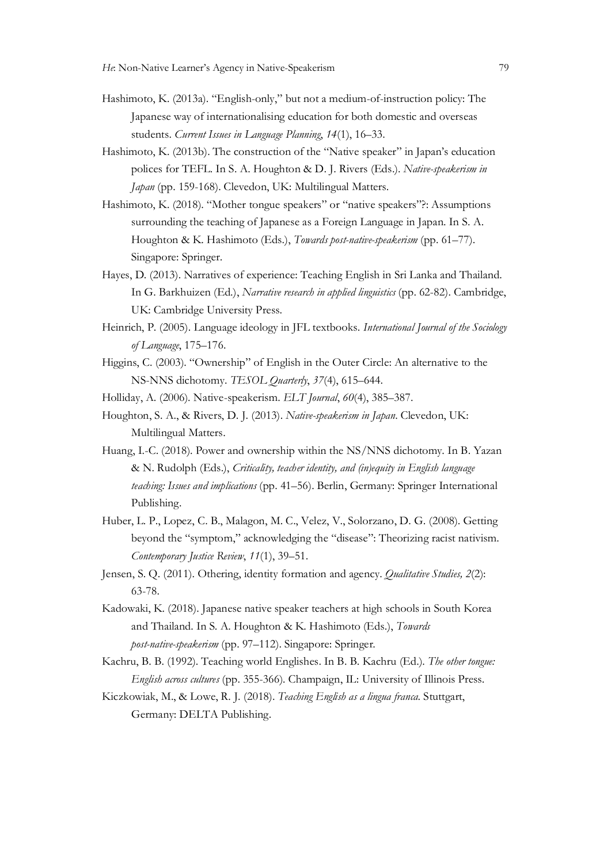- Hashimoto, K. (2013a). "English-only," but not a medium-of-instruction policy: The Japanese way of internationalising education for both domestic and overseas students. Current Issues in Language Planning, 14(1), 16–33.
- Hashimoto, K. (2013b). The construction of the "Native speaker" in Japan's education polices for TEFL. In S. A. Houghton & D. J. Rivers (Eds.). Native-speakerism in Japan (pp. 159-168). Clevedon, UK: Multilingual Matters.
- Hashimoto, K. (2018). "Mother tongue speakers" or "native speakers"?: Assumptions surrounding the teaching of Japanese as a Foreign Language in Japan. In S. A. Houghton & K. Hashimoto (Eds.), Towards post-native-speakerism (pp. 61–77). Singapore: Springer.
- Hayes, D. (2013). Narratives of experience: Teaching English in Sri Lanka and Thailand. In G. Barkhuizen (Ed.), Narrative research in applied linguistics (pp. 62-82). Cambridge, UK: Cambridge University Press.
- Heinrich, P. (2005). Language ideology in JFL textbooks. International Journal of the Sociology of Language, 175–176.
- Higgins, C. (2003). "Ownership" of English in the Outer Circle: An alternative to the NS-NNS dichotomy. TESOL Quarterly, 37(4), 615–644.
- Holliday, A. (2006). Native-speakerism. ELT Journal, 60(4), 385–387.
- Houghton, S. A., & Rivers, D. J. (2013). Native-speakerism in Japan. Clevedon, UK: Multilingual Matters.
- Huang, I.-C. (2018). Power and ownership within the NS/NNS dichotomy. In B. Yazan & N. Rudolph (Eds.), Criticality, teacher identity, and (in)equity in English language teaching: Issues and implications (pp. 41–56). Berlin, Germany: Springer International Publishing.
- Huber, L. P., Lopez, C. B., Malagon, M. C., Velez, V., Solorzano, D. G. (2008). Getting beyond the "symptom," acknowledging the "disease": Theorizing racist nativism. Contemporary Justice Review, 11(1), 39–51.
- Jensen, S. Q. (2011). Othering, identity formation and agency. Qualitative Studies, 2(2): 63-78.
- Kadowaki, K. (2018). Japanese native speaker teachers at high schools in South Korea and Thailand. In S. A. Houghton & K. Hashimoto (Eds.), Towards post-native-speakerism (pp. 97–112). Singapore: Springer.
- Kachru, B. B. (1992). Teaching world Englishes. In B. B. Kachru (Ed.). The other tongue: English across cultures (pp. 355-366). Champaign, IL: University of Illinois Press.
- Kiczkowiak, M., & Lowe, R. J. (2018). Teaching English as a lingua franca. Stuttgart, Germany: DELTA Publishing.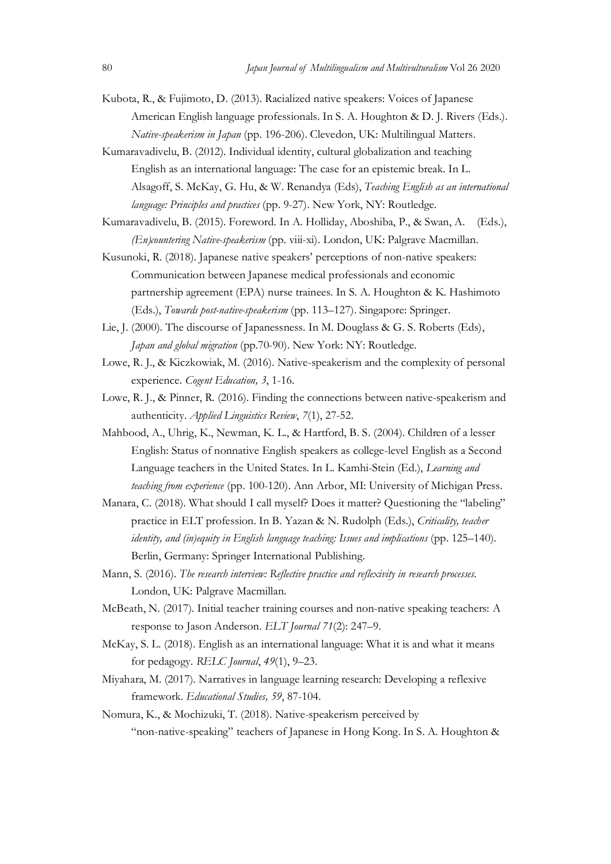- Sample 19 Japan Journal of Multilingualism and Multivulturalism Vol 26 2020<br>
1990 Kubota, R., & Fujimoto, D. (2013). Racialized native speakers: Voices of Japanese<br>
1990 American English language professionals. In S. A. Ho Kubota, R., & Fujimoto, D. (2013). Racialized native speakers: Voices of Japanese American English language professionals. In S. A. Houghton & D. J. Rivers (Eds.). Native-speakerism in Japan (pp. 196-206). Clevedon, UK: Multilingual Matters.
- Kumaravadivelu, B. (2012). Individual identity, cultural globalization and teaching English as an international language: The case for an epistemic break. In L. Alsagoff, S. McKay, G. Hu, & W. Renandya (Eds), Teaching English as an international language: Principles and practices (pp. 9-27). New York, NY: Routledge.
- Kumaravadivelu, B. (2015). Foreword. In A. Holliday, Aboshiba, P., & Swan, A. (Eds.), (En)countering Native-speakerism (pp. viii-xi). London, UK: Palgrave Macmillan.
- Kusunoki, R. (2018). Japanese native speakers' perceptions of non-native speakers: Communication between Japanese medical professionals and economic partnership agreement (EPA) nurse trainees. In S. A. Houghton & K. Hashimoto (Eds.), Towards post-native-speakerism (pp. 113–127). Singapore: Springer.
- Lie, J. (2000). The discourse of Japanessness. In M. Douglass & G. S. Roberts (Eds), Japan and global migration (pp.70-90). New York: NY: Routledge.
- Lowe, R. J., & Kiczkowiak, M. (2016). Native-speakerism and the complexity of personal experience. Cogent Education, 3, 1-16.
- Lowe, R. J., & Pinner, R. (2016). Finding the connections between native-speakerism and authenticity. Applied Linguistics Review, 7(1), 27-52.
- Mahbood, A., Uhrig, K., Newman, K. L., & Hartford, B. S. (2004). Children of a lesser English: Status of nonnative English speakers as college-level English as a Second Language teachers in the United States. In L. Kamhi-Stein (Ed.), Learning and teaching from experience (pp. 100-120). Ann Arbor, MI: University of Michigan Press.
- Manara, C. (2018). What should I call myself? Does it matter? Questioning the "labeling" practice in ELT profession. In B. Yazan & N. Rudolph (Eds.), Criticality, teacher identity, and (in)equity in English language teaching: Issues and implications (pp. 125–140). Berlin, Germany: Springer International Publishing.
- Mann, S. (2016). The research interview: Reflective practice and reflexivity in research processes.<br>London, UK: Palgrave Macmillan.
- McBeath, N. (2017). Initial teacher training courses and non-native speaking teachers: A response to Jason Anderson. ELT Journal 71(2): 247–9.
- McKay, S. L. (2018). English as an international language: What it is and what it means for pedagogy. RELC Journal, 49(1), 9–23.
- Miyahara, M. (2017). Narratives in language learning research: Developing a reflexive framework. Educational Studies, 59, 87-104.
- Nomura, K., & Mochizuki, T. (2018). Native-speakerism perceived by "non-native-speaking" teachers of Japanese in Hong Kong. In S. A. Houghton &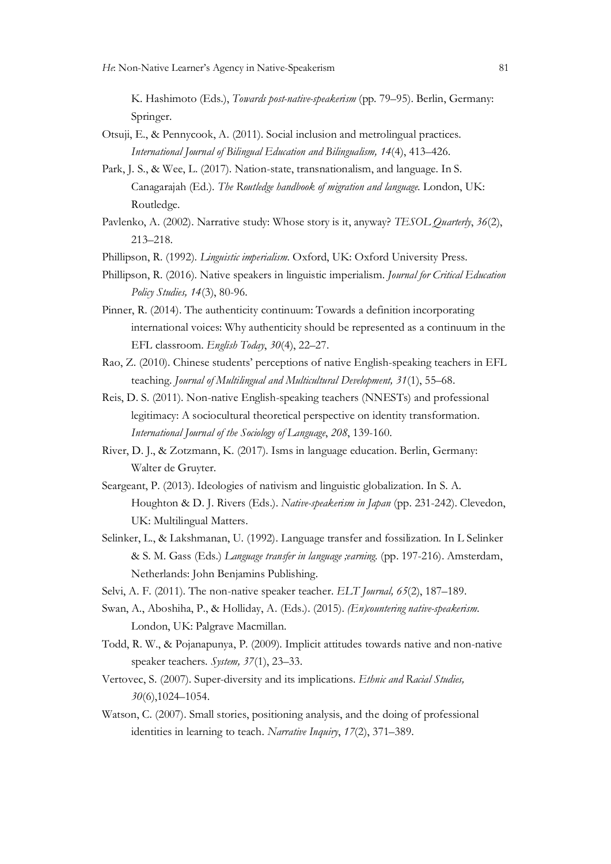K. Hashimoto (Eds.), Towards post-native-speakerism (pp. 79–95). Berlin, Germany: Springer.

- Otsuji, E., & Pennycook, A. (2011). Social inclusion and metrolingual practices. International Journal of Bilingual Education and Bilingualism, 14(4), 413–426.
- Park, J. S., & Wee, L. (2017). Nation-state, transnationalism, and language. In S. Canagarajah (Ed.). The Routledge handbook of migration and language. London, UK: Routledge.
- Pavlenko, A. (2002). Narrative study: Whose story is it, anyway? TESOL Quarterly, 36(2), 213–218.
- Phillipson, R. (1992). Linguistic imperialism. Oxford, UK: Oxford University Press.
- Phillipson, R. (2016). Native speakers in linguistic imperialism. Journal for Critical Education Policy Studies, 14(3), 80-96.
- Pinner, R. (2014). The authenticity continuum: Towards a definition incorporating international voices: Why authenticity should be represented as a continuum in the EFL classroom. English Today, 30(4), 22–27.
- Rao, Z. (2010). Chinese students' perceptions of native English-speaking teachers in EFL teaching. Journal of Multilingual and Multicultural Development, 31(1), 55–68.
- Reis, D. S. (2011). Non-native English-speaking teachers (NNESTs) and professional legitimacy: A sociocultural theoretical perspective on identity transformation. International Journal of the Sociology of Language, 208, 139-160.
- River, D. J., & Zotzmann, K. (2017). Isms in language education. Berlin, Germany: Walter de Gruyter.
- Seargeant, P. (2013). Ideologies of nativism and linguistic globalization. In S. A. Houghton & D. J. Rivers (Eds.). Native-speakerism in Japan (pp. 231-242). Clevedon, UK: Multilingual Matters.
- Selinker, L., & Lakshmanan, U. (1992). Language transfer and fossilization. In L Selinker & S. M. Gass (Eds.) Language transfer in language ;earning. (pp. 197-216). Amsterdam, Netherlands: John Benjamins Publishing.
- Selvi, A. F. (2011). The non-native speaker teacher. ELT Journal, 65(2), 187–189.
- Swan, A., Aboshiha, P., & Holliday, A. (Eds.). (2015). *(En)countering native-speakerism*.<br>London, UK: Palgrave Macmillan.
- Todd, R. W., & Pojanapunya, P. (2009). Implicit attitudes towards native and non-native speaker teachers. System, 37(1), 23–33.
- Vertovec, S. (2007). Super-diversity and its implications. Ethnic and Racial Studies, 30(6),1024–1054.
- Watson, C. (2007). Small stories, positioning analysis, and the doing of professional identities in learning to teach. Narrative Inquiry, 17(2), 371–389.